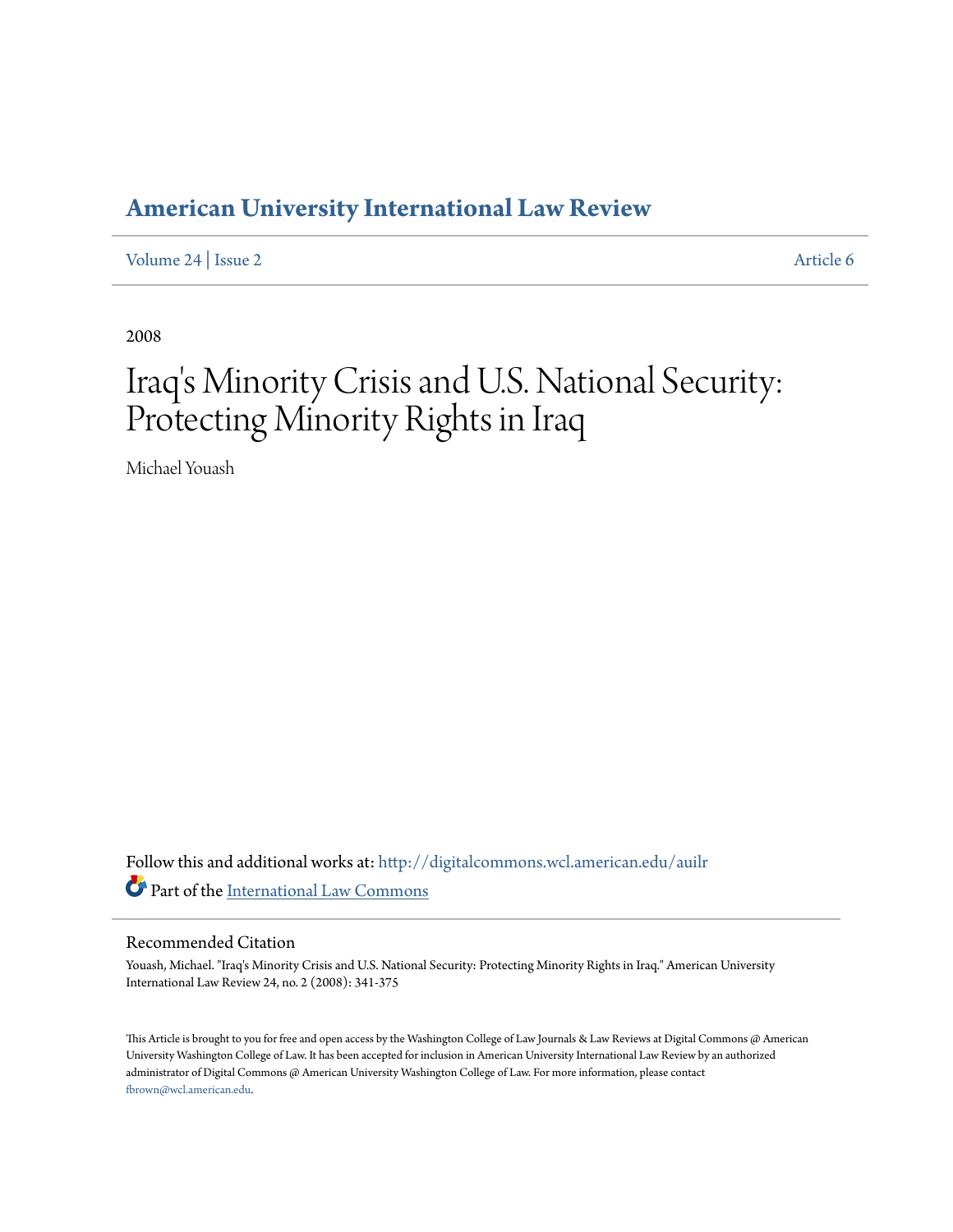## **[American University International Law Review](http://digitalcommons.wcl.american.edu/auilr?utm_source=digitalcommons.wcl.american.edu%2Fauilr%2Fvol24%2Fiss2%2F6&utm_medium=PDF&utm_campaign=PDFCoverPages)**

[Volume 24](http://digitalcommons.wcl.american.edu/auilr/vol24?utm_source=digitalcommons.wcl.american.edu%2Fauilr%2Fvol24%2Fiss2%2F6&utm_medium=PDF&utm_campaign=PDFCoverPages) | [Issue 2](http://digitalcommons.wcl.american.edu/auilr/vol24/iss2?utm_source=digitalcommons.wcl.american.edu%2Fauilr%2Fvol24%2Fiss2%2F6&utm_medium=PDF&utm_campaign=PDFCoverPages) [Article 6](http://digitalcommons.wcl.american.edu/auilr/vol24/iss2/6?utm_source=digitalcommons.wcl.american.edu%2Fauilr%2Fvol24%2Fiss2%2F6&utm_medium=PDF&utm_campaign=PDFCoverPages)

2008

# Iraq 's Minority Crisis and U.S. National Security: Protecting Minority Rights in Iraq

Michael Youash

Follow this and additional works at: [http://digitalcommons.wcl.american.edu/auilr](http://digitalcommons.wcl.american.edu/auilr?utm_source=digitalcommons.wcl.american.edu%2Fauilr%2Fvol24%2Fiss2%2F6&utm_medium=PDF&utm_campaign=PDFCoverPages) Part of the [International Law Commons](http://network.bepress.com/hgg/discipline/609?utm_source=digitalcommons.wcl.american.edu%2Fauilr%2Fvol24%2Fiss2%2F6&utm_medium=PDF&utm_campaign=PDFCoverPages)

#### Recommended Citation

Youash, Michael. "Iraq's Minority Crisis and U.S. National Security: Protecting Minority Rights in Iraq." American University International Law Review 24, no. 2 (2008): 341-375

This Article is brought to you for free and open access by the Washington College of Law Journals & Law Reviews at Digital Commons @ American University Washington College of Law. It has been accepted for inclusion in American University International Law Review by an authorized administrator of Digital Commons @ American University Washington College of Law. For more information, please contact [fbrown@wcl.american.edu](mailto:fbrown@wcl.american.edu).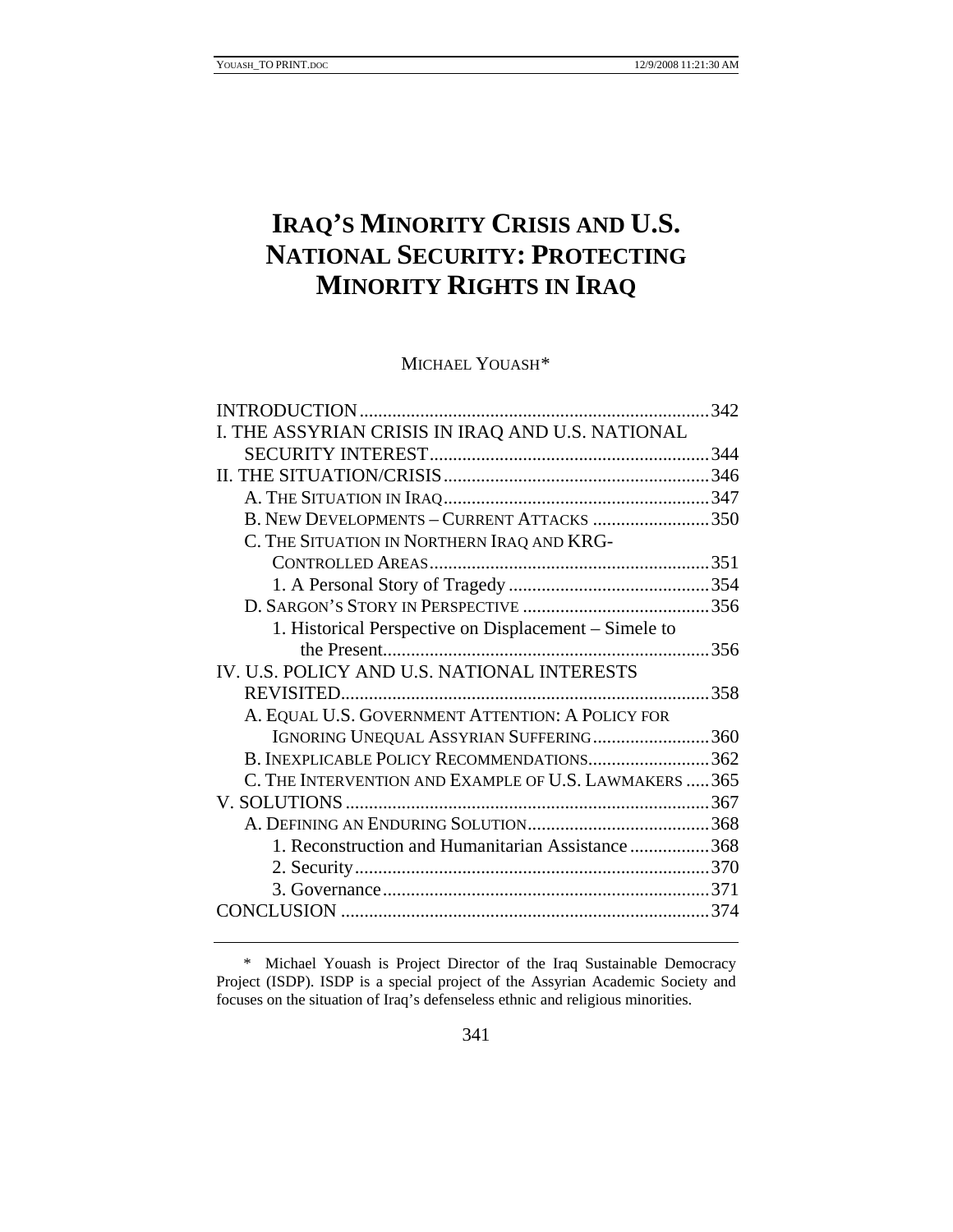## **IRAQ'S MINORITY CRISIS AND U.S. NATIONAL SECURITY: PROTECTING MINORITY RIGHTS IN IRAQ**

MICHAEL YOUASH[\\*](#page-1-0)

|                                                        | .342 |
|--------------------------------------------------------|------|
| I. THE ASSYRIAN CRISIS IN IRAQ AND U.S. NATIONAL       |      |
|                                                        |      |
|                                                        |      |
|                                                        |      |
| B. NEW DEVELOPMENTS - CURRENT ATTACKS 350              |      |
| C. THE SITUATION IN NORTHERN IRAQ AND KRG-             |      |
|                                                        |      |
|                                                        |      |
|                                                        |      |
| 1. Historical Perspective on Displacement – Simele to  |      |
| the Present                                            | .356 |
| IV. U.S. POLICY AND U.S. NATIONAL INTERESTS            |      |
|                                                        |      |
| A. EQUAL U.S. GOVERNMENT ATTENTION: A POLICY FOR       |      |
| IGNORING UNEQUAL ASSYRIAN SUFFERING360                 |      |
| B. INEXPLICABLE POLICY RECOMMENDATIONS362              |      |
| C. THE INTERVENTION AND EXAMPLE OF U.S. LAWMAKERS  365 |      |
|                                                        |      |
|                                                        |      |
| 1. Reconstruction and Humanitarian Assistance 368      |      |
|                                                        |      |
|                                                        |      |
|                                                        |      |
|                                                        |      |

<span id="page-1-0"></span> <sup>\*</sup> Michael Youash is Project Director of the Iraq Sustainable Democracy Project (ISDP). ISDP is a special project of the Assyrian Academic Society and focuses on the situation of Iraq's defenseless ethnic and religious minorities.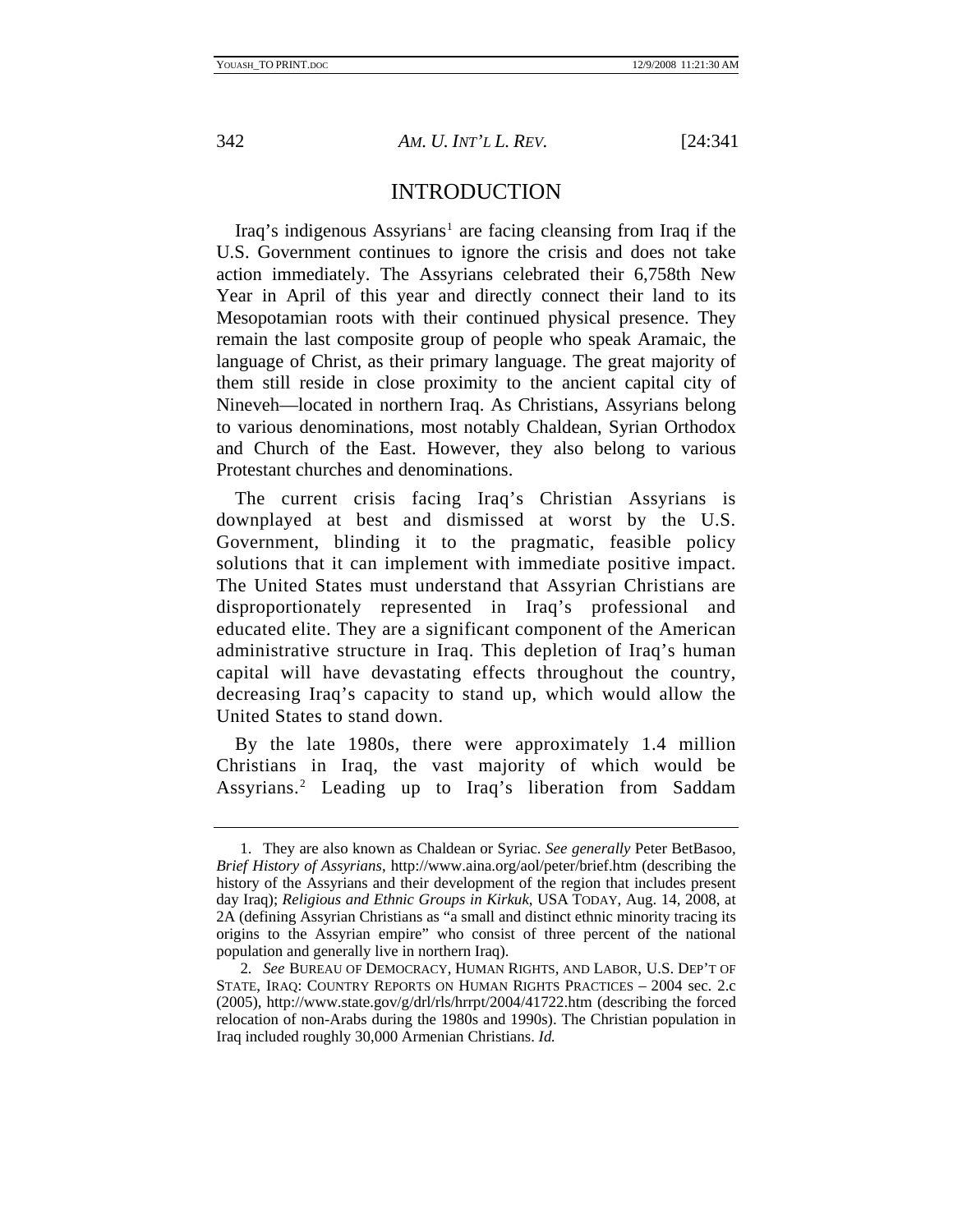<span id="page-2-0"></span>

## INTRODUCTION

Iraq's indigenous Assyrians<sup>[1](#page-2-1)</sup> are facing cleansing from Iraq if the U.S. Government continues to ignore the crisis and does not take action immediately. The Assyrians celebrated their 6,758th New Year in April of this year and directly connect their land to its Mesopotamian roots with their continued physical presence. They remain the last composite group of people who speak Aramaic, the language of Christ, as their primary language. The great majority of them still reside in close proximity to the ancient capital city of Nineveh—located in northern Iraq. As Christians, Assyrians belong to various denominations, most notably Chaldean, Syrian Orthodox and Church of the East. However, they also belong to various Protestant churches and denominations.

The current crisis facing Iraq's Christian Assyrians is downplayed at best and dismissed at worst by the U.S. Government, blinding it to the pragmatic, feasible policy solutions that it can implement with immediate positive impact. The United States must understand that Assyrian Christians are disproportionately represented in Iraq's professional and educated elite. They are a significant component of the American administrative structure in Iraq. This depletion of Iraq's human capital will have devastating effects throughout the country, decreasing Iraq's capacity to stand up, which would allow the United States to stand down.

By the late 1980s, there were approximately 1.4 million Christians in Iraq, the vast majority of which would be Assyrians.[2](#page-2-2) Leading up to Iraq's liberation from Saddam

<span id="page-2-1"></span> <sup>1.</sup> They are also known as Chaldean or Syriac. *See generally* Peter BetBasoo, *Brief History of Assyrians*, http://www.aina.org/aol/peter/brief.htm (describing the history of the Assyrians and their development of the region that includes present day Iraq); *Religious and Ethnic Groups in Kirkuk*, USA TODAY, Aug. 14, 2008, at 2A (defining Assyrian Christians as "a small and distinct ethnic minority tracing its origins to the Assyrian empire" who consist of three percent of the national population and generally live in northern Iraq).

<span id="page-2-2"></span><sup>2</sup>*. See* BUREAU OF DEMOCRACY, HUMAN RIGHTS, AND LABOR, U.S. DEP'T OF STATE, IRAQ: COUNTRY REPORTS ON HUMAN RIGHTS PRACTICES – 2004 sec. 2.c (2005), http://www.state.gov/g/drl/rls/hrrpt/2004/41722.htm (describing the forced relocation of non-Arabs during the 1980s and 1990s). The Christian population in Iraq included roughly 30,000 Armenian Christians. *Id.*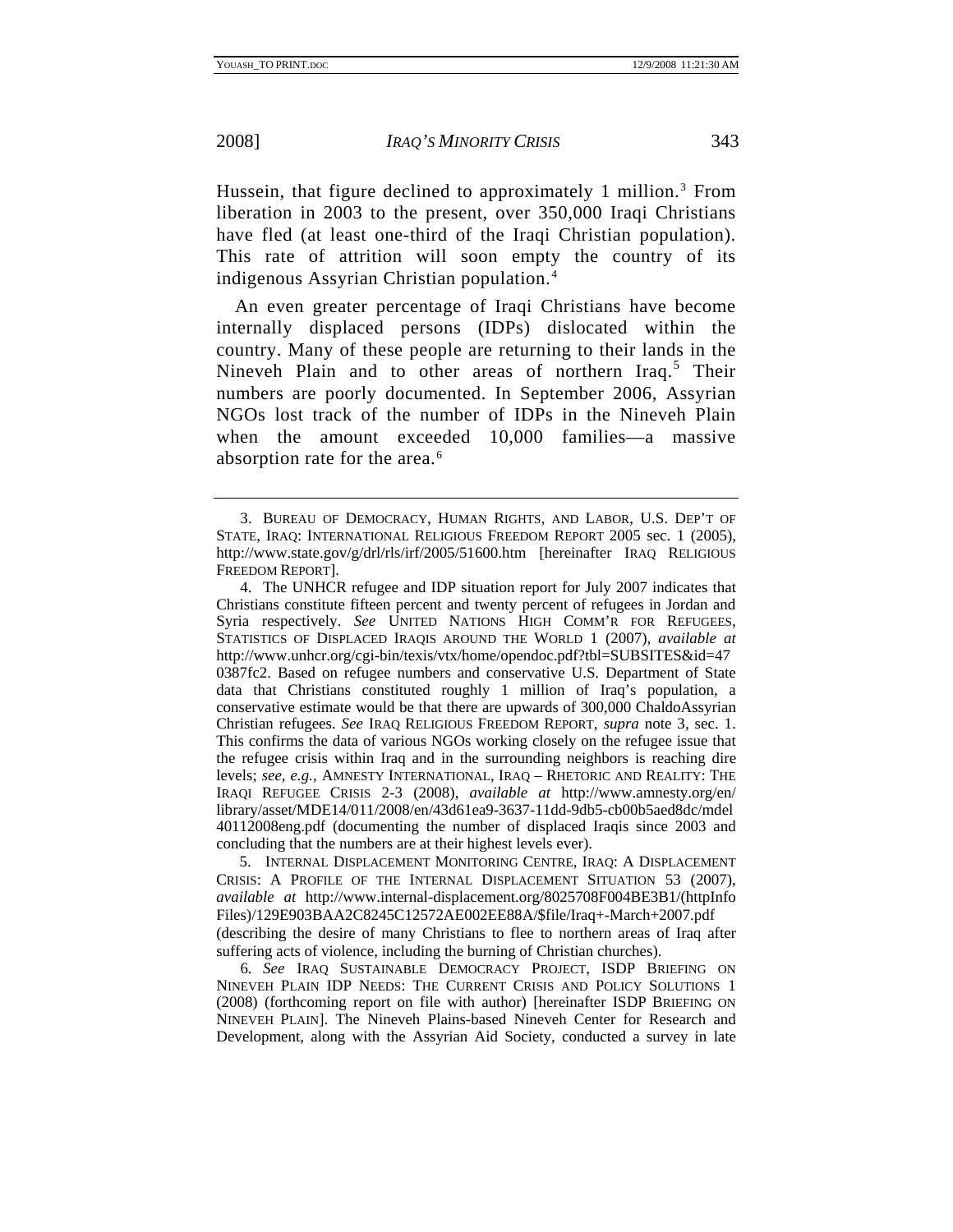Hussein, that figure declined to approximately 1 million.<sup>[3](#page-3-0)</sup> From liberation in 2003 to the present, over 350,000 Iraqi Christians have fled (at least one-third of the Iraqi Christian population). This rate of attrition will soon empty the country of its indigenous Assyrian Christian population.[4](#page-3-1)

An even greater percentage of Iraqi Christians have become internally displaced persons (IDPs) dislocated within the country. Many of these people are returning to their lands in the Nineveh Plain and to other areas of northern Iraq.<sup>[5](#page-3-2)</sup> Their numbers are poorly documented. In September 2006, Assyrian NGOs lost track of the number of IDPs in the Nineveh Plain when the amount exceeded 10,000 families—a massive absorption rate for the area.<sup>[6](#page-3-3)</sup>

<span id="page-3-2"></span> 5. INTERNAL DISPLACEMENT MONITORING CENTRE, IRAQ: A DISPLACEMENT CRISIS: A PROFILE OF THE INTERNAL DISPLACEMENT SITUATION 53 (2007), *available at* http://www.internal-displacement.org/8025708F004BE3B1/(httpInfo Files)/129E903BAA2C8245C12572AE002EE88A/\$file/Iraq+-March+2007.pdf (describing the desire of many Christians to flee to northern areas of Iraq after suffering acts of violence, including the burning of Christian churches).

<span id="page-3-3"></span>6*. See* IRAQ SUSTAINABLE DEMOCRACY PROJECT, ISDP BRIEFING ON NINEVEH PLAIN IDP NEEDS: THE CURRENT CRISIS AND POLICY SOLUTIONS 1 (2008) (forthcoming report on file with author) [hereinafter ISDP BRIEFING ON NINEVEH PLAIN]. The Nineveh Plains-based Nineveh Center for Research and Development, along with the Assyrian Aid Society, conducted a survey in late

<span id="page-3-0"></span> <sup>3.</sup> BUREAU OF DEMOCRACY, HUMAN RIGHTS, AND LABOR, U.S. DEP'T OF STATE, IRAQ: INTERNATIONAL RELIGIOUS FREEDOM REPORT 2005 sec. 1 (2005), http://www.state.gov/g/drl/rls/irf/2005/51600.htm [hereinafter IRAQ RELIGIOUS FREEDOM REPORT].

<span id="page-3-1"></span> <sup>4.</sup> The UNHCR refugee and IDP situation report for July 2007 indicates that Christians constitute fifteen percent and twenty percent of refugees in Jordan and Syria respectively. *See* UNITED NATIONS HIGH COMM'R FOR REFUGEES, STATISTICS OF DISPLACED IRAQIS AROUND THE WORLD 1 (2007), *available at* http://www.unhcr.org/cgi-bin/texis/vtx/home/opendoc.pdf?tbl=SUBSITES&id=47 0387fc2. Based on refugee numbers and conservative U.S. Department of State data that Christians constituted roughly 1 million of Iraq's population, a conservative estimate would be that there are upwards of 300,000 ChaldoAssyrian Christian refugees. *See* IRAQ RELIGIOUS FREEDOM REPORT, *supra* note 3, sec. 1. This confirms the data of various NGOs working closely on the refugee issue that the refugee crisis within Iraq and in the surrounding neighbors is reaching dire levels; *see, e.g.*, AMNESTY INTERNATIONAL, IRAQ – RHETORIC AND REALITY: THE IRAQI REFUGEE CRISIS 2-3 (2008), *available at* http://www.amnesty.org/en/ library/asset/MDE14/011/2008/en/43d61ea9-3637-11dd-9db5-cb00b5aed8dc/mdel 40112008eng.pdf (documenting the number of displaced Iraqis since 2003 and concluding that the numbers are at their highest levels ever).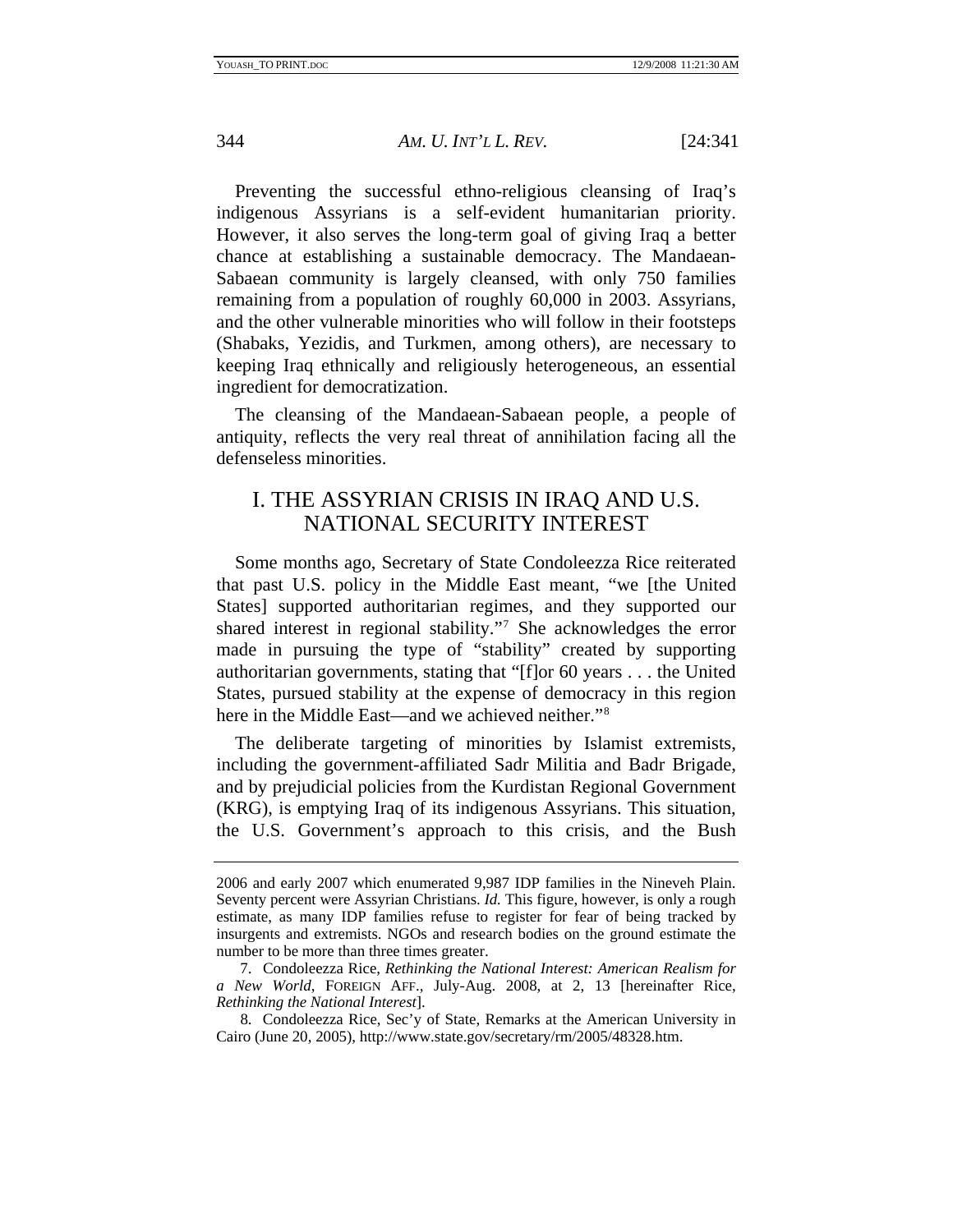<span id="page-4-0"></span>

Preventing the successful ethno-religious cleansing of Iraq's indigenous Assyrians is a self-evident humanitarian priority. However, it also serves the long-term goal of giving Iraq a better chance at establishing a sustainable democracy. The Mandaean-Sabaean community is largely cleansed, with only 750 families remaining from a population of roughly 60,000 in 2003. Assyrians, and the other vulnerable minorities who will follow in their footsteps (Shabaks, Yezidis, and Turkmen, among others), are necessary to keeping Iraq ethnically and religiously heterogeneous, an essential ingredient for democratization.

The cleansing of the Mandaean-Sabaean people, a people of antiquity, reflects the very real threat of annihilation facing all the defenseless minorities.

## I. THE ASSYRIAN CRISIS IN IRAQ AND U.S. NATIONAL SECURITY INTEREST

Some months ago, Secretary of State Condoleezza Rice reiterated that past U.S. policy in the Middle East meant, "we [the United States] supported authoritarian regimes, and they supported our shared interest in regional stability.["7](#page-4-1) She acknowledges the error made in pursuing the type of "stability" created by supporting authoritarian governments, stating that "[f]or 60 years . . . the United States, pursued stability at the expense of democracy in this region here in the Middle East—and we achieved neither."[8](#page-4-2)

The deliberate targeting of minorities by Islamist extremists, including the government-affiliated Sadr Militia and Badr Brigade, and by prejudicial policies from the Kurdistan Regional Government (KRG), is emptying Iraq of its indigenous Assyrians. This situation, the U.S. Government's approach to this crisis, and the Bush

<sup>2006</sup> and early 2007 which enumerated 9,987 IDP families in the Nineveh Plain. Seventy percent were Assyrian Christians. *Id.* This figure, however, is only a rough estimate, as many IDP families refuse to register for fear of being tracked by insurgents and extremists. NGOs and research bodies on the ground estimate the number to be more than three times greater.

<span id="page-4-1"></span> <sup>7.</sup> Condoleezza Rice, *Rethinking the National Interest: American Realism for a New World*, FOREIGN AFF., July-Aug. 2008, at 2, 13 [hereinafter Rice, *Rethinking the National Interest*].

<span id="page-4-2"></span> <sup>8.</sup> Condoleezza Rice, Sec'y of State, Remarks at the American University in Cairo (June 20, 2005), http://www.state.gov/secretary/rm/2005/48328.htm.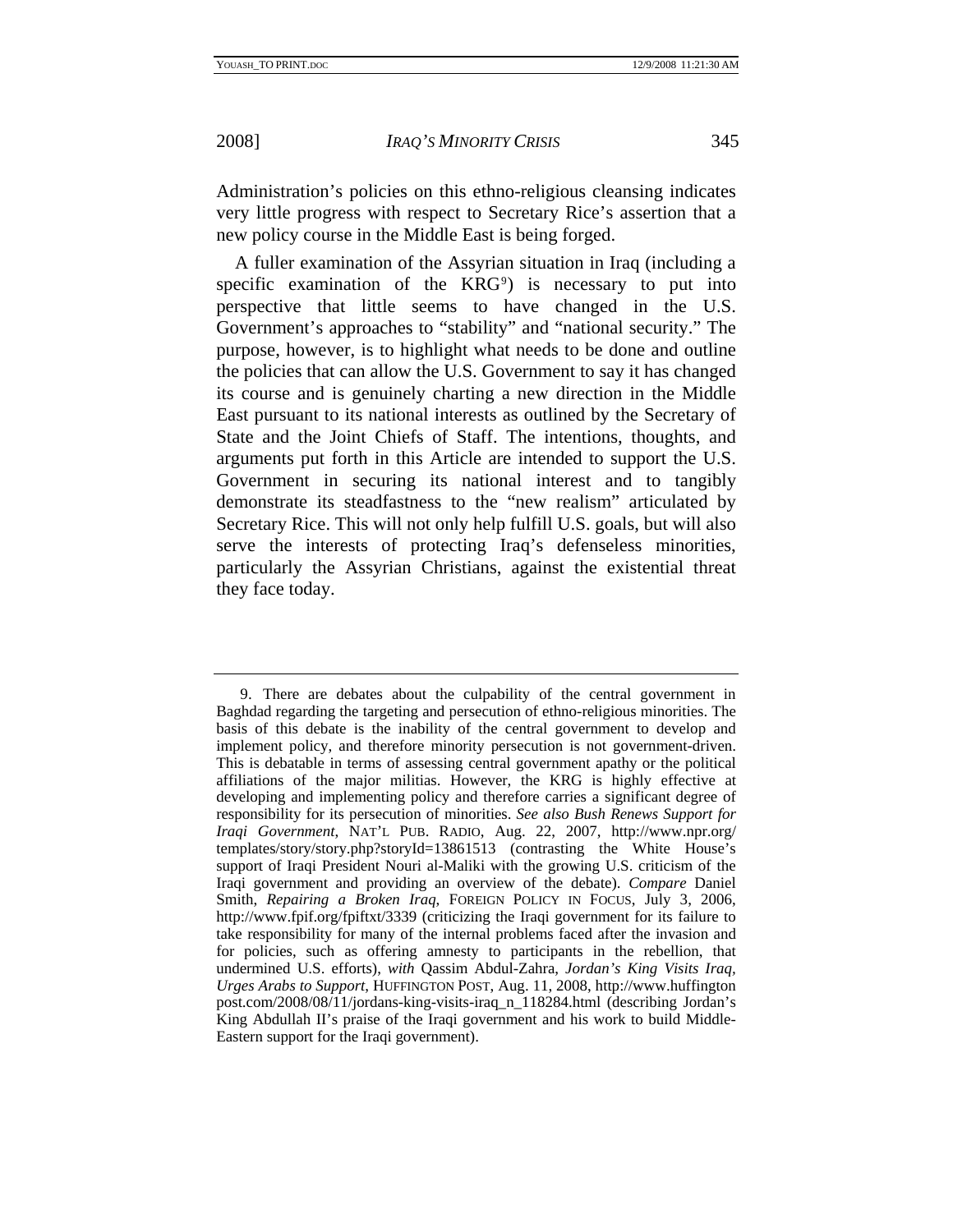Administration's policies on this ethno-religious cleansing indicates very little progress with respect to Secretary Rice's assertion that a new policy course in the Middle East is being forged.

A fuller examination of the Assyrian situation in Iraq (including a specific examination of the  $KRG<sup>9</sup>$  $KRG<sup>9</sup>$  $KRG<sup>9</sup>$  is necessary to put into perspective that little seems to have changed in the U.S. Government's approaches to "stability" and "national security." The purpose, however, is to highlight what needs to be done and outline the policies that can allow the U.S. Government to say it has changed its course and is genuinely charting a new direction in the Middle East pursuant to its national interests as outlined by the Secretary of State and the Joint Chiefs of Staff. The intentions, thoughts, and arguments put forth in this Article are intended to support the U.S. Government in securing its national interest and to tangibly demonstrate its steadfastness to the "new realism" articulated by Secretary Rice. This will not only help fulfill U.S. goals, but will also serve the interests of protecting Iraq's defenseless minorities, particularly the Assyrian Christians, against the existential threat they face today.

<span id="page-5-0"></span> <sup>9.</sup> There are debates about the culpability of the central government in Baghdad regarding the targeting and persecution of ethno-religious minorities. The basis of this debate is the inability of the central government to develop and implement policy, and therefore minority persecution is not government-driven. This is debatable in terms of assessing central government apathy or the political affiliations of the major militias. However, the KRG is highly effective at developing and implementing policy and therefore carries a significant degree of responsibility for its persecution of minorities. *See also Bush Renews Support for Iraqi Government*, NAT'L PUB. RADIO, Aug. 22, 2007, http://www.npr.org/ templates/story/story.php?storyId=13861513 (contrasting the White House's support of Iraqi President Nouri al-Maliki with the growing U.S. criticism of the Iraqi government and providing an overview of the debate). *Compare* Daniel Smith, *Repairing a Broken Iraq*, FOREIGN POLICY IN FOCUS, July 3, 2006, http://www.fpif.org/fpiftxt/3339 (criticizing the Iraqi government for its failure to take responsibility for many of the internal problems faced after the invasion and for policies, such as offering amnesty to participants in the rebellion, that undermined U.S. efforts), *with* Qassim Abdul-Zahra, *Jordan's King Visits Iraq, Urges Arabs to Support*, HUFFINGTON POST, Aug. 11, 2008, http://www.huffington post.com/2008/08/11/jordans-king-visits-iraq\_n\_118284.html (describing Jordan's King Abdullah II's praise of the Iraqi government and his work to build Middle-Eastern support for the Iraqi government).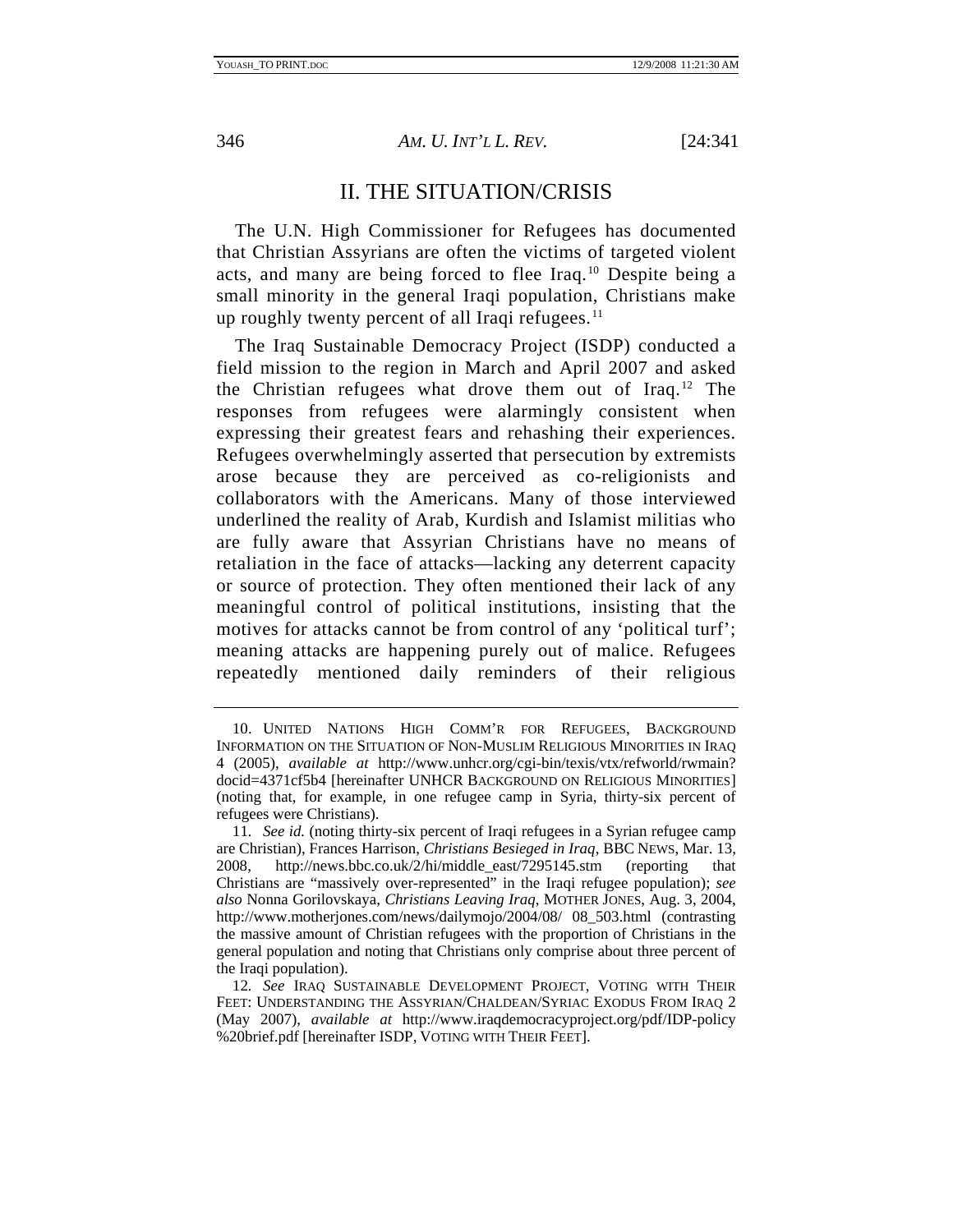<span id="page-6-0"></span>

## II. THE SITUATION/CRISIS

The U.N. High Commissioner for Refugees has documented that Christian Assyrians are often the victims of targeted violent acts, and many are being forced to flee Iraq.[10](#page-6-1) Despite being a small minority in the general Iraqi population, Christians make up roughly twenty percent of all Iraqi refugees. $11$ 

The Iraq Sustainable Democracy Project (ISDP) conducted a field mission to the region in March and April 2007 and asked the Christian refugees what drove them out of Iraq.[12](#page-6-3) The responses from refugees were alarmingly consistent when expressing their greatest fears and rehashing their experiences. Refugees overwhelmingly asserted that persecution by extremists arose because they are perceived as co-religionists and collaborators with the Americans. Many of those interviewed underlined the reality of Arab, Kurdish and Islamist militias who are fully aware that Assyrian Christians have no means of retaliation in the face of attacks—lacking any deterrent capacity or source of protection. They often mentioned their lack of any meaningful control of political institutions, insisting that the motives for attacks cannot be from control of any 'political turf'; meaning attacks are happening purely out of malice. Refugees repeatedly mentioned daily reminders of their religious

<span id="page-6-1"></span> <sup>10.</sup> UNITED NATIONS HIGH COMM'R FOR REFUGEES, BACKGROUND INFORMATION ON THE SITUATION OF NON-MUSLIM RELIGIOUS MINORITIES IN IRAQ 4 (2005), *available at* http://www.unhcr.org/cgi-bin/texis/vtx/refworld/rwmain? docid=4371cf5b4 [hereinafter UNHCR BACKGROUND ON RELIGIOUS MINORITIES] (noting that, for example, in one refugee camp in Syria, thirty-six percent of refugees were Christians).

<span id="page-6-2"></span><sup>11</sup>*. See id.* (noting thirty-six percent of Iraqi refugees in a Syrian refugee camp are Christian), Frances Harrison, *Christians Besieged in Iraq*, BBC NEWS, Mar. 13, 2008, http://news.bbc.co.uk/2/hi/middle\_east/7295145.stm (reporting that Christians are "massively over-represented" in the Iraqi refugee population); *see also* Nonna Gorilovskaya, *Christians Leaving Iraq*, MOTHER JONES, Aug. 3, 2004, http://www.motherjones.com/news/dailymojo/2004/08/ 08\_503.html (contrasting the massive amount of Christian refugees with the proportion of Christians in the general population and noting that Christians only comprise about three percent of the Iraqi population).

<span id="page-6-3"></span><sup>12</sup>*. See* IRAQ SUSTAINABLE DEVELOPMENT PROJECT, VOTING WITH THEIR FEET: UNDERSTANDING THE ASSYRIAN/CHALDEAN/SYRIAC EXODUS FROM IRAQ 2 (May 2007), *available at* http://www.iraqdemocracyproject.org/pdf/IDP-policy %20brief.pdf [hereinafter ISDP, VOTING WITH THEIR FEET].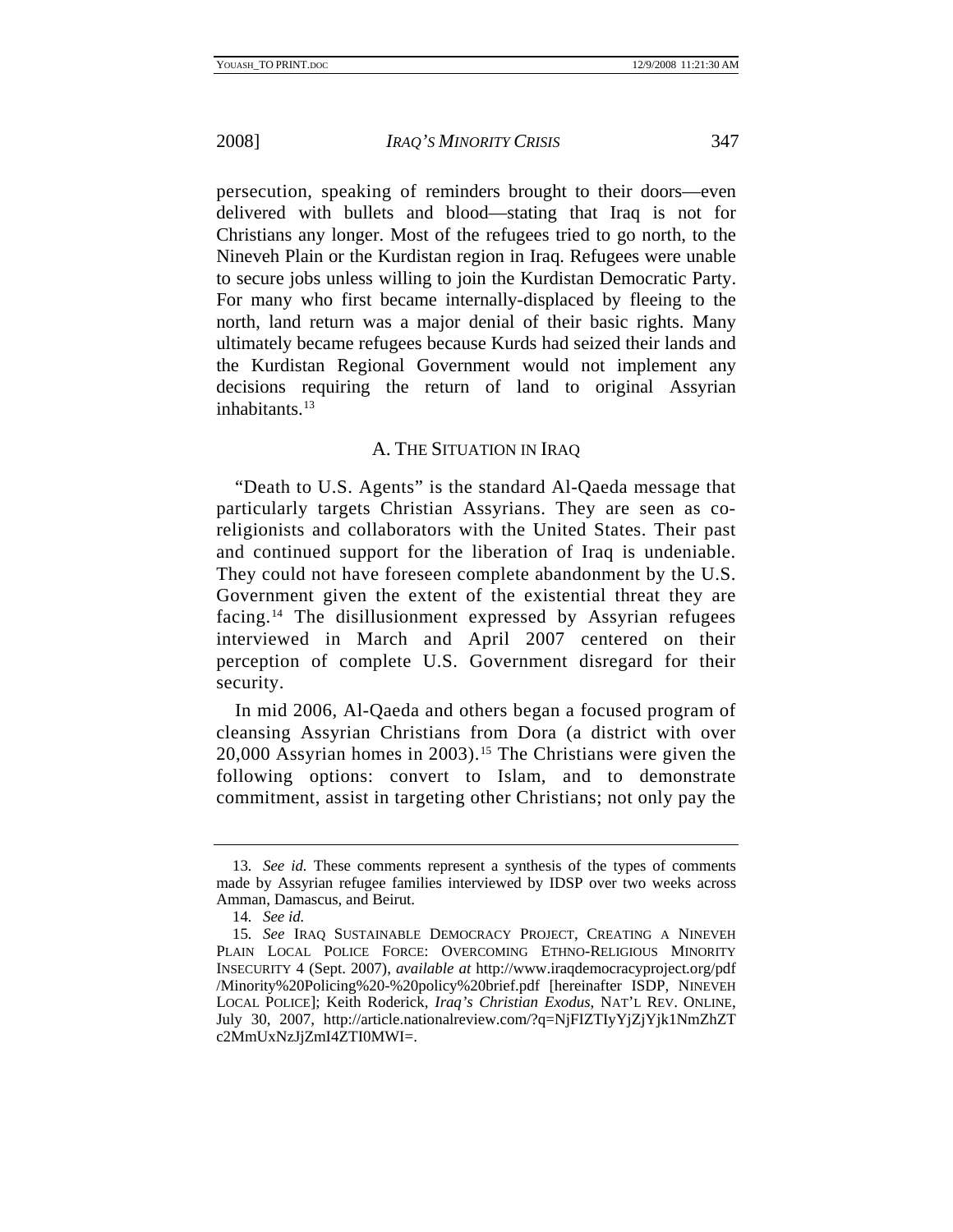<span id="page-7-0"></span>

persecution, speaking of reminders brought to their doors—even delivered with bullets and blood—stating that Iraq is not for Christians any longer. Most of the refugees tried to go north, to the Nineveh Plain or the Kurdistan region in Iraq. Refugees were unable to secure jobs unless willing to join the Kurdistan Democratic Party. For many who first became internally-displaced by fleeing to the north, land return was a major denial of their basic rights. Many ultimately became refugees because Kurds had seized their lands and the Kurdistan Regional Government would not implement any decisions requiring the return of land to original Assyrian inhabitants.<sup>[13](#page-7-1)</sup>

### A. THE SITUATION IN IRAQ

"Death to U.S. Agents" is the standard Al-Qaeda message that particularly targets Christian Assyrians. They are seen as coreligionists and collaborators with the United States. Their past and continued support for the liberation of Iraq is undeniable. They could not have foreseen complete abandonment by the U.S. Government given the extent of the existential threat they are facing.[14](#page-7-2) The disillusionment expressed by Assyrian refugees interviewed in March and April 2007 centered on their perception of complete U.S. Government disregard for their security.

In mid 2006, Al-Qaeda and others began a focused program of cleansing Assyrian Christians from Dora (a district with over 20,000 Assyrian homes in 2003).[15](#page-7-3) The Christians were given the following options: convert to Islam, and to demonstrate commitment, assist in targeting other Christians; not only pay the

<span id="page-7-1"></span><sup>13</sup>*. See id.* These comments represent a synthesis of the types of comments made by Assyrian refugee families interviewed by IDSP over two weeks across Amman, Damascus, and Beirut.

<sup>14</sup>*. See id.*

<span id="page-7-3"></span><span id="page-7-2"></span><sup>15</sup>*. See* IRAQ SUSTAINABLE DEMOCRACY PROJECT, CREATING A NINEVEH PLAIN LOCAL POLICE FORCE: OVERCOMING ETHNO-RELIGIOUS MINORITY INSECURITY 4 (Sept. 2007), *available at* http://www.iraqdemocracyproject.org/pdf /Minority%20Policing%20-%20policy%20brief.pdf [hereinafter ISDP, NINEVEH LOCAL POLICE]; Keith Roderick, *Iraq's Christian Exodus*, NAT'L REV. ONLINE, July 30, 2007, http://article.nationalreview.com/?q=NjFIZTIyYjZjYjk1NmZhZT c2MmUxNzJjZmI4ZTI0MWI=.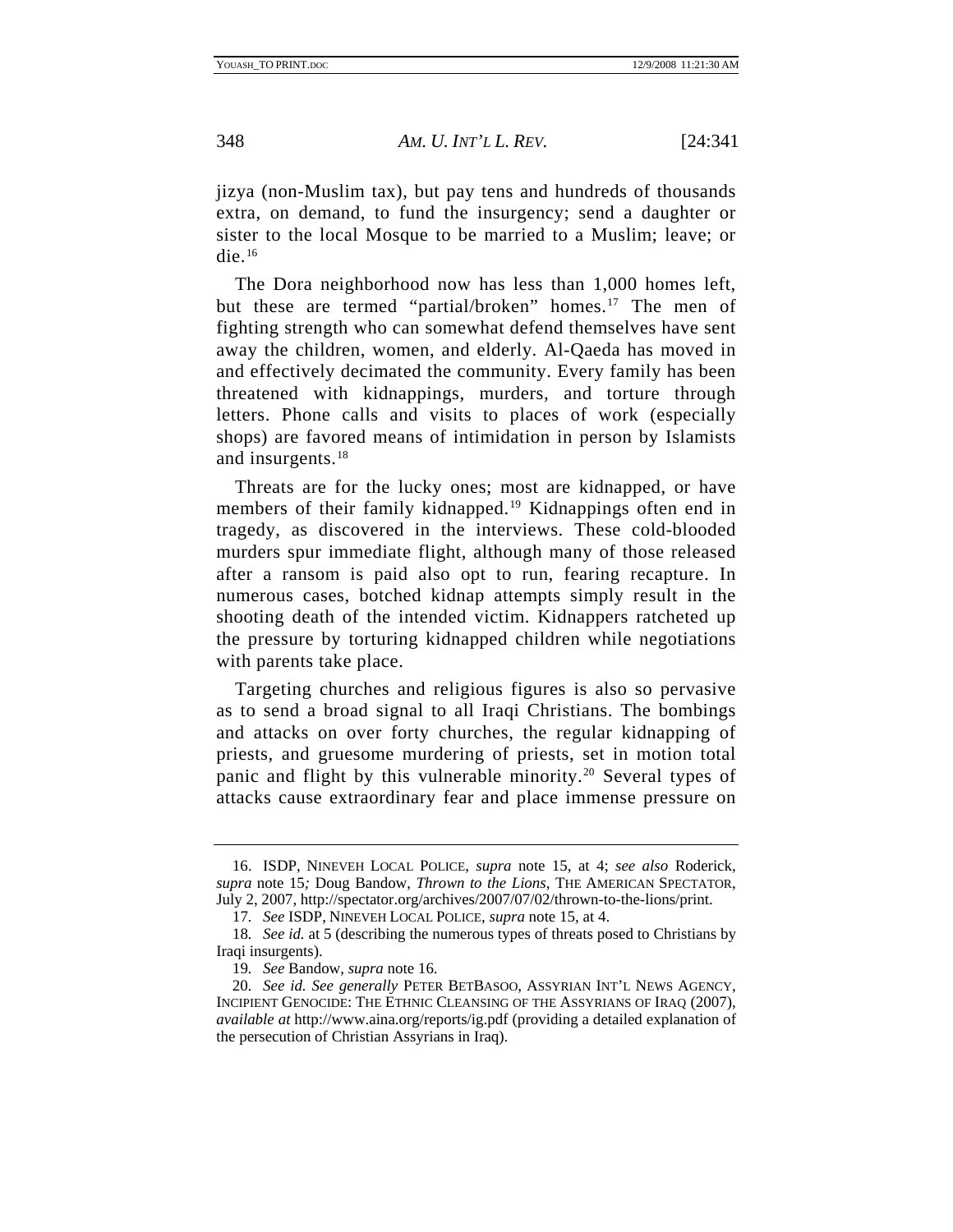jizya (non-Muslim tax), but pay tens and hundreds of thousands extra, on demand, to fund the insurgency; send a daughter or sister to the local Mosque to be married to a Muslim; leave; or die. $16$ 

The Dora neighborhood now has less than 1,000 homes left, but these are termed "partial/broken" homes.<sup>[17](#page-8-1)</sup> The men of fighting strength who can somewhat defend themselves have sent away the children, women, and elderly. Al-Qaeda has moved in and effectively decimated the community. Every family has been threatened with kidnappings, murders, and torture through letters. Phone calls and visits to places of work (especially shops) are favored means of intimidation in person by Islamists and insurgents.[18](#page-8-2)

Threats are for the lucky ones; most are kidnapped, or have members of their family kidnapped.<sup>[19](#page-8-3)</sup> Kidnappings often end in tragedy, as discovered in the interviews. These cold-blooded murders spur immediate flight, although many of those released after a ransom is paid also opt to run, fearing recapture. In numerous cases, botched kidnap attempts simply result in the shooting death of the intended victim. Kidnappers ratcheted up the pressure by torturing kidnapped children while negotiations with parents take place.

Targeting churches and religious figures is also so pervasive as to send a broad signal to all Iraqi Christians. The bombings and attacks on over forty churches, the regular kidnapping of priests, and gruesome murdering of priests, set in motion total panic and flight by this vulnerable minority.[20](#page-8-4) Several types of attacks cause extraordinary fear and place immense pressure on

<span id="page-8-0"></span> <sup>16.</sup> ISDP, NINEVEH LOCAL POLICE, *supra* note 15, at 4; *see also* Roderick, *supra* note 15*;* Doug Bandow, *Thrown to the Lions*, THE AMERICAN SPECTATOR, July 2, 2007, http://spectator.org/archives/2007/07/02/thrown-to-the-lions/print.

<sup>17</sup>*. See* ISDP, NINEVEH LOCAL POLICE, *supra* note 15, at 4.

<span id="page-8-2"></span><span id="page-8-1"></span><sup>18</sup>*. See id.* at 5 (describing the numerous types of threats posed to Christians by Iraqi insurgents).

<sup>19</sup>*. See* Bandow, *supra* note 16.

<span id="page-8-4"></span><span id="page-8-3"></span><sup>20</sup>*. See id. See generally* PETER BETBASOO, ASSYRIAN INT'L NEWS AGENCY, INCIPIENT GENOCIDE: THE ETHNIC CLEANSING OF THE ASSYRIANS OF IRAQ (2007), *available at* http://www.aina.org/reports/ig.pdf (providing a detailed explanation of the persecution of Christian Assyrians in Iraq).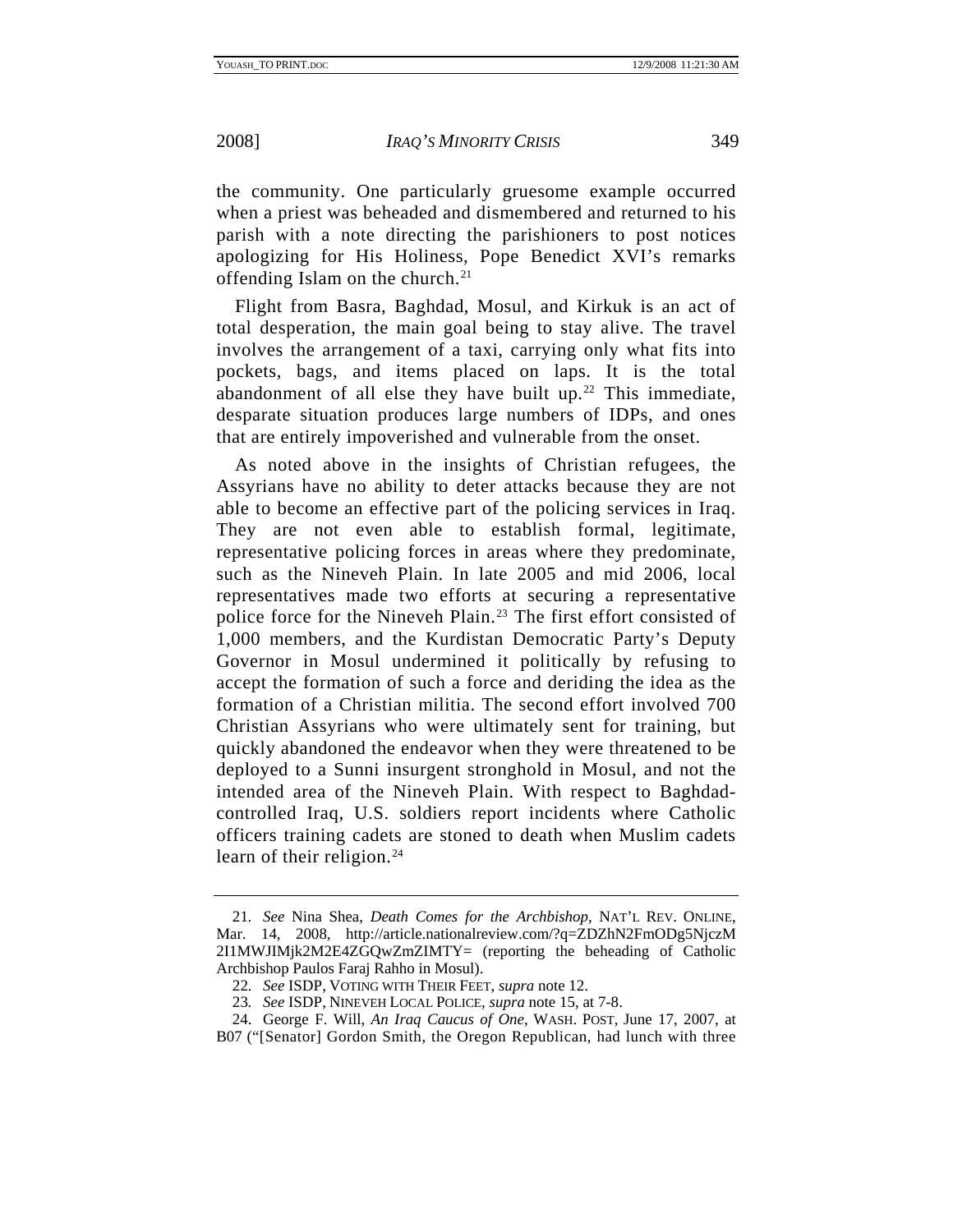the community. One particularly gruesome example occurred when a priest was beheaded and dismembered and returned to his parish with a note directing the parishioners to post notices apologizing for His Holiness, Pope Benedict XVI's remarks offending Islam on the church.<sup>[21](#page-9-0)</sup>

Flight from Basra, Baghdad, Mosul, and Kirkuk is an act of total desperation, the main goal being to stay alive. The travel involves the arrangement of a taxi, carrying only what fits into pockets, bags, and items placed on laps. It is the total abandonment of all else they have built up.<sup>[22](#page-9-1)</sup> This immediate, desparate situation produces large numbers of IDPs, and ones that are entirely impoverished and vulnerable from the onset.

As noted above in the insights of Christian refugees, the Assyrians have no ability to deter attacks because they are not able to become an effective part of the policing services in Iraq. They are not even able to establish formal, legitimate, representative policing forces in areas where they predominate, such as the Nineveh Plain. In late 2005 and mid 2006, local representatives made two efforts at securing a representative police force for the Nineveh Plain.<sup>[23](#page-9-2)</sup> The first effort consisted of 1,000 members, and the Kurdistan Democratic Party's Deputy Governor in Mosul undermined it politically by refusing to accept the formation of such a force and deriding the idea as the formation of a Christian militia. The second effort involved 700 Christian Assyrians who were ultimately sent for training, but quickly abandoned the endeavor when they were threatened to be deployed to a Sunni insurgent stronghold in Mosul, and not the intended area of the Nineveh Plain. With respect to Baghdadcontrolled Iraq, U.S. soldiers report incidents where Catholic officers training cadets are stoned to death when Muslim cadets learn of their religion.<sup>[24](#page-9-3)</sup>

<span id="page-9-0"></span><sup>21</sup>*. See* Nina Shea, *Death Comes for the Archbishop*, NAT'L REV. ONLINE, Mar. 14, 2008, http://article.nationalreview.com/?q=ZDZhN2FmODg5NjczM 2I1MWJIMjk2M2E4ZGQwZmZIMTY= (reporting the beheading of Catholic Archbishop Paulos Faraj Rahho in Mosul).

<sup>22</sup>*. See* ISDP, VOTING WITH THEIR FEET, *supra* note 12.

<sup>23</sup>*. See* ISDP, NINEVEH LOCAL POLICE, *supra* note 15, at 7-8.

<span id="page-9-3"></span><span id="page-9-2"></span><span id="page-9-1"></span> <sup>24.</sup> George F. Will, *An Iraq Caucus of One*, WASH. POST, June 17, 2007, at B07 ("[Senator] Gordon Smith, the Oregon Republican, had lunch with three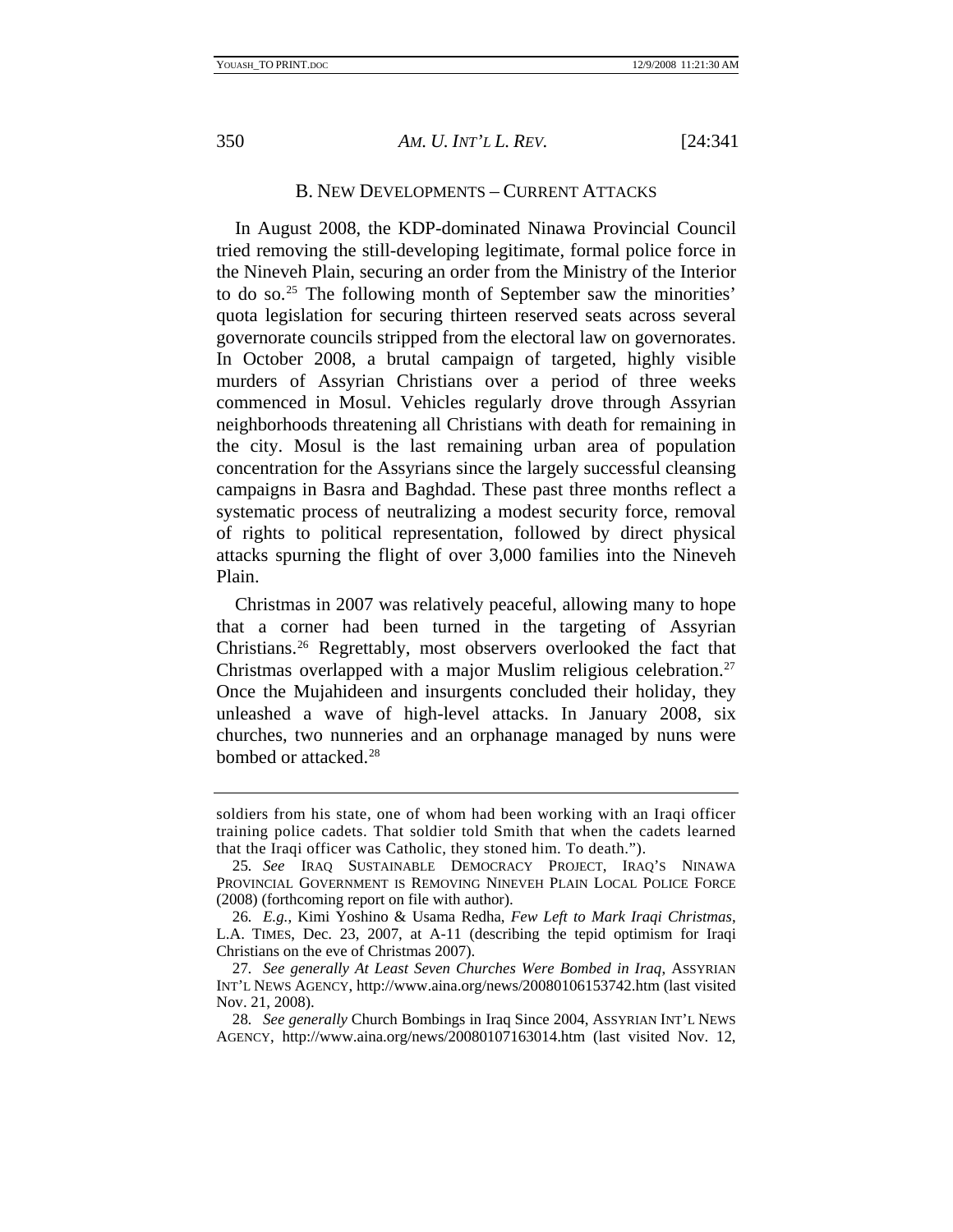<span id="page-10-0"></span>

#### B. NEW DEVELOPMENTS – CURRENT ATTACKS

In August 2008, the KDP-dominated Ninawa Provincial Council tried removing the still-developing legitimate, formal police force in the Nineveh Plain, securing an order from the Ministry of the Interior to do so.[25](#page-10-1) The following month of September saw the minorities' quota legislation for securing thirteen reserved seats across several governorate councils stripped from the electoral law on governorates. In October 2008, a brutal campaign of targeted, highly visible murders of Assyrian Christians over a period of three weeks commenced in Mosul. Vehicles regularly drove through Assyrian neighborhoods threatening all Christians with death for remaining in the city. Mosul is the last remaining urban area of population concentration for the Assyrians since the largely successful cleansing campaigns in Basra and Baghdad. These past three months reflect a systematic process of neutralizing a modest security force, removal of rights to political representation, followed by direct physical attacks spurning the flight of over 3,000 families into the Nineveh Plain.

Christmas in 2007 was relatively peaceful, allowing many to hope that a corner had been turned in the targeting of Assyrian Christians.[26](#page-10-2) Regrettably, most observers overlooked the fact that Christmas overlapped with a major Muslim religious celebration[.27](#page-10-3) Once the Mujahideen and insurgents concluded their holiday, they unleashed a wave of high-level attacks. In January 2008, six churches, two nunneries and an orphanage managed by nuns were bombed or attacked.<sup>[28](#page-10-4)</sup>

soldiers from his state, one of whom had been working with an Iraqi officer training police cadets. That soldier told Smith that when the cadets learned that the Iraqi officer was Catholic, they stoned him. To death.").

<span id="page-10-1"></span><sup>25</sup>*. See* IRAQ SUSTAINABLE DEMOCRACY PROJECT, IRAQ'S NINAWA PROVINCIAL GOVERNMENT IS REMOVING NINEVEH PLAIN LOCAL POLICE FORCE (2008) (forthcoming report on file with author).

<span id="page-10-2"></span><sup>26</sup>*. E.g.*, Kimi Yoshino & Usama Redha, *Few Left to Mark Iraqi Christmas*, L.A. TIMES, Dec. 23, 2007, at A-11 (describing the tepid optimism for Iraqi Christians on the eve of Christmas 2007).

<span id="page-10-3"></span><sup>27</sup>*. See generally At Least Seven Churches Were Bombed in Iraq*, ASSYRIAN INT'L NEWS AGENCY, http://www.aina.org/news/20080106153742.htm (last visited Nov. 21, 2008).

<span id="page-10-4"></span><sup>28</sup>*. See generally* Church Bombings in Iraq Since 2004, ASSYRIAN INT'L NEWS AGENCY, http://www.aina.org/news/20080107163014.htm (last visited Nov. 12,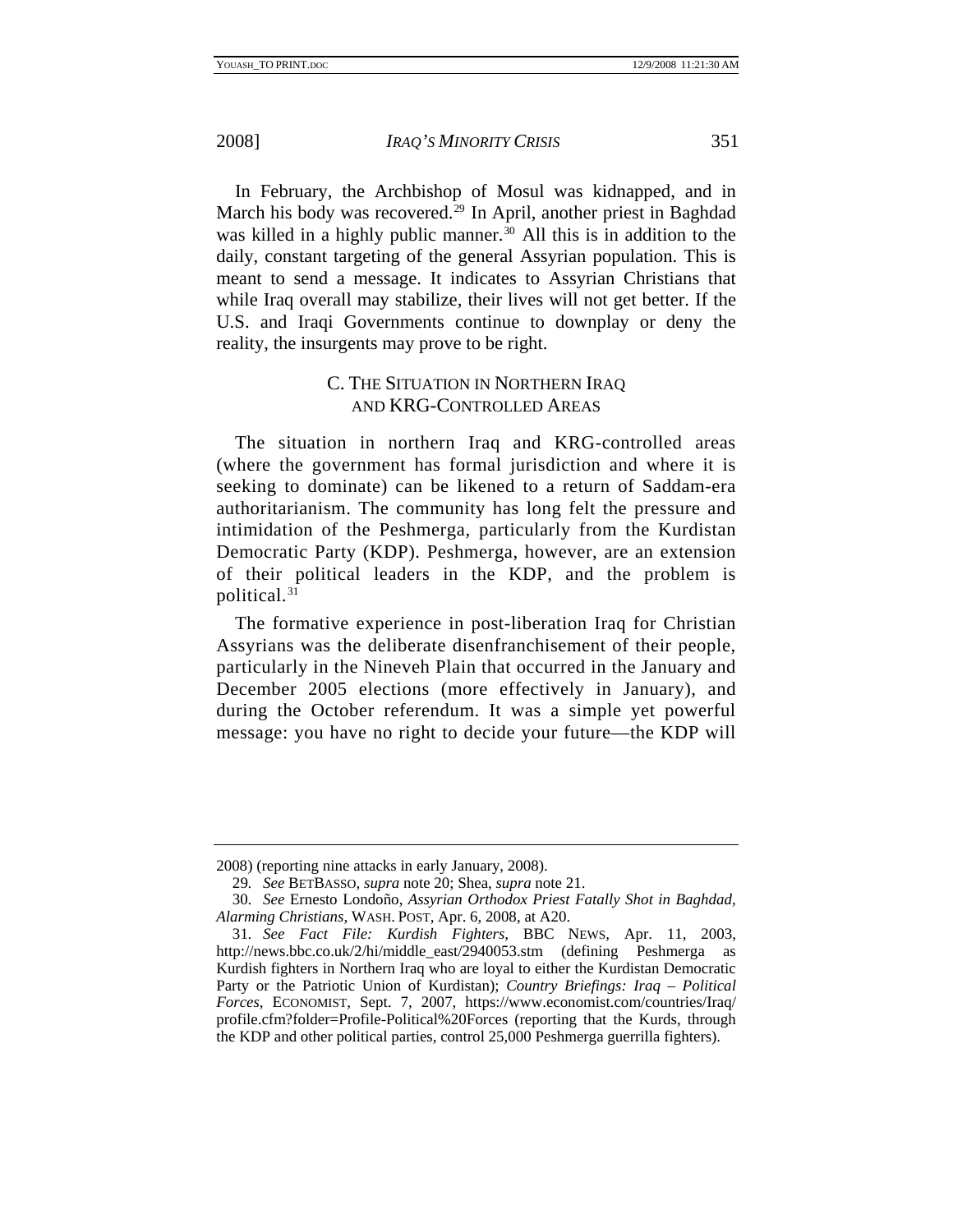<span id="page-11-0"></span>

In February, the Archbishop of Mosul was kidnapped, and in March his body was recovered.[29](#page-11-1) In April, another priest in Baghdad was killed in a highly public manner.<sup>[30](#page-11-2)</sup> All this is in addition to the daily, constant targeting of the general Assyrian population. This is meant to send a message. It indicates to Assyrian Christians that while Iraq overall may stabilize, their lives will not get better. If the U.S. and Iraqi Governments continue to downplay or deny the reality, the insurgents may prove to be right.

## C. THE SITUATION IN NORTHERN IRAQ AND KRG-CONTROLLED AREAS

The situation in northern Iraq and KRG-controlled areas (where the government has formal jurisdiction and where it is seeking to dominate) can be likened to a return of Saddam-era authoritarianism. The community has long felt the pressure and intimidation of the Peshmerga, particularly from the Kurdistan Democratic Party (KDP). Peshmerga, however, are an extension of their political leaders in the KDP, and the problem is political.[31](#page-11-3)

The formative experience in post-liberation Iraq for Christian Assyrians was the deliberate disenfranchisement of their people, particularly in the Nineveh Plain that occurred in the January and December 2005 elections (more effectively in January), and during the October referendum. It was a simple yet powerful message: you have no right to decide your future—the KDP will

<span id="page-11-1"></span><sup>2008) (</sup>reporting nine attacks in early January, 2008).

<sup>29</sup>*. See* BETBASSO, *supra* note 20; Shea, *supra* note 21.

<span id="page-11-2"></span><sup>30</sup>*. See* Ernesto Londoño, *Assyrian Orthodox Priest Fatally Shot in Baghdad, Alarming Christians*, WASH. POST, Apr. 6, 2008, at A20.

<span id="page-11-3"></span><sup>31</sup>*. See Fact File: Kurdish Fighters*, BBC NEWS, Apr. 11, 2003, http://news.bbc.co.uk/2/hi/middle\_east/2940053.stm (defining Peshmerga as Kurdish fighters in Northern Iraq who are loyal to either the Kurdistan Democratic Party or the Patriotic Union of Kurdistan); *Country Briefings: Iraq – Political Forces*, ECONOMIST, Sept. 7, 2007, https://www.economist.com/countries/Iraq/ profile.cfm?folder=Profile-Political%20Forces (reporting that the Kurds, through the KDP and other political parties, control 25,000 Peshmerga guerrilla fighters).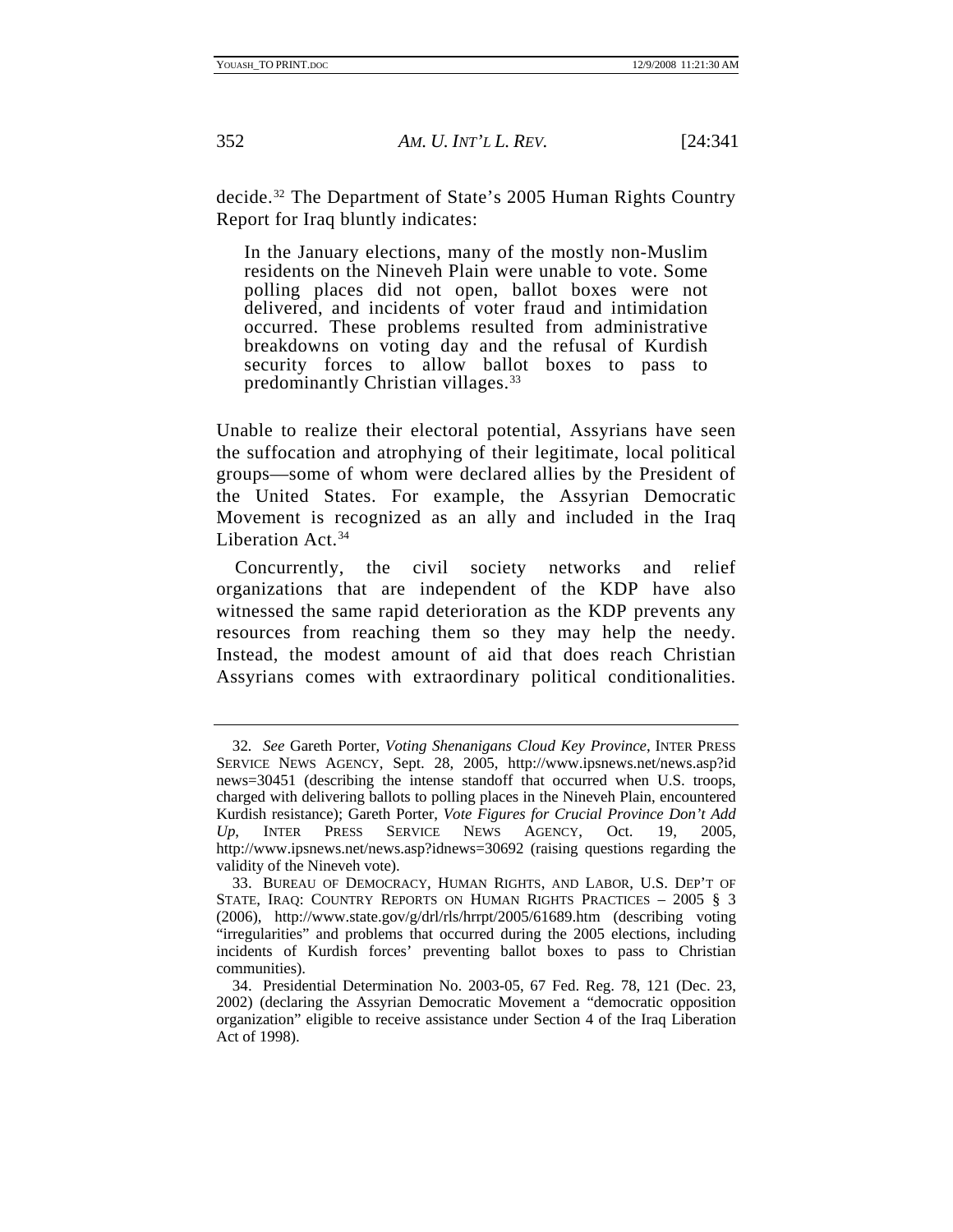decide.[32](#page-12-0) The Department of State's 2005 Human Rights Country Report for Iraq bluntly indicates:

In the January elections, many of the mostly non-Muslim residents on the Nineveh Plain were unable to vote. Some polling places did not open, ballot boxes were not delivered, and incidents of voter fraud and intimidation occurred. These problems resulted from administrative breakdowns on voting day and the refusal of Kurdish security forces to allow ballot boxes to pass to predominantly Christian villages.<sup>[33](#page-12-1)</sup>

Unable to realize their electoral potential, Assyrians have seen the suffocation and atrophying of their legitimate, local political groups—some of whom were declared allies by the President of the United States. For example, the Assyrian Democratic Movement is recognized as an ally and included in the Iraq Liberation Act.<sup>[34](#page-12-2)</sup>

Concurrently, the civil society networks and relief organizations that are independent of the KDP have also witnessed the same rapid deterioration as the KDP prevents any resources from reaching them so they may help the needy. Instead, the modest amount of aid that does reach Christian Assyrians comes with extraordinary political conditionalities.

<span id="page-12-0"></span><sup>32</sup>*. See* Gareth Porter, *Voting Shenanigans Cloud Key Province*, INTER PRESS SERVICE NEWS AGENCY, Sept. 28, 2005, http://www.ipsnews.net/news.asp?id news=30451 (describing the intense standoff that occurred when U.S. troops, charged with delivering ballots to polling places in the Nineveh Plain, encountered Kurdish resistance); Gareth Porter, *Vote Figures for Crucial Province Don't Add Up*, INTER PRESS SERVICE NEWS AGENCY, Oct. 19, 2005, http://www.ipsnews.net/news.asp?idnews=30692 (raising questions regarding the validity of the Nineveh vote).

<span id="page-12-1"></span> <sup>33.</sup> BUREAU OF DEMOCRACY, HUMAN RIGHTS, AND LABOR, U.S. DEP'T OF STATE, IRAQ: COUNTRY REPORTS ON HUMAN RIGHTS PRACTICES - 2005 § 3 (2006), http://www.state.gov/g/drl/rls/hrrpt/2005/61689.htm (describing voting "irregularities" and problems that occurred during the 2005 elections, including incidents of Kurdish forces' preventing ballot boxes to pass to Christian communities).

<span id="page-12-2"></span> <sup>34.</sup> Presidential Determination No. 2003-05, 67 Fed. Reg. 78, 121 (Dec. 23, 2002) (declaring the Assyrian Democratic Movement a "democratic opposition organization" eligible to receive assistance under Section 4 of the Iraq Liberation Act of 1998).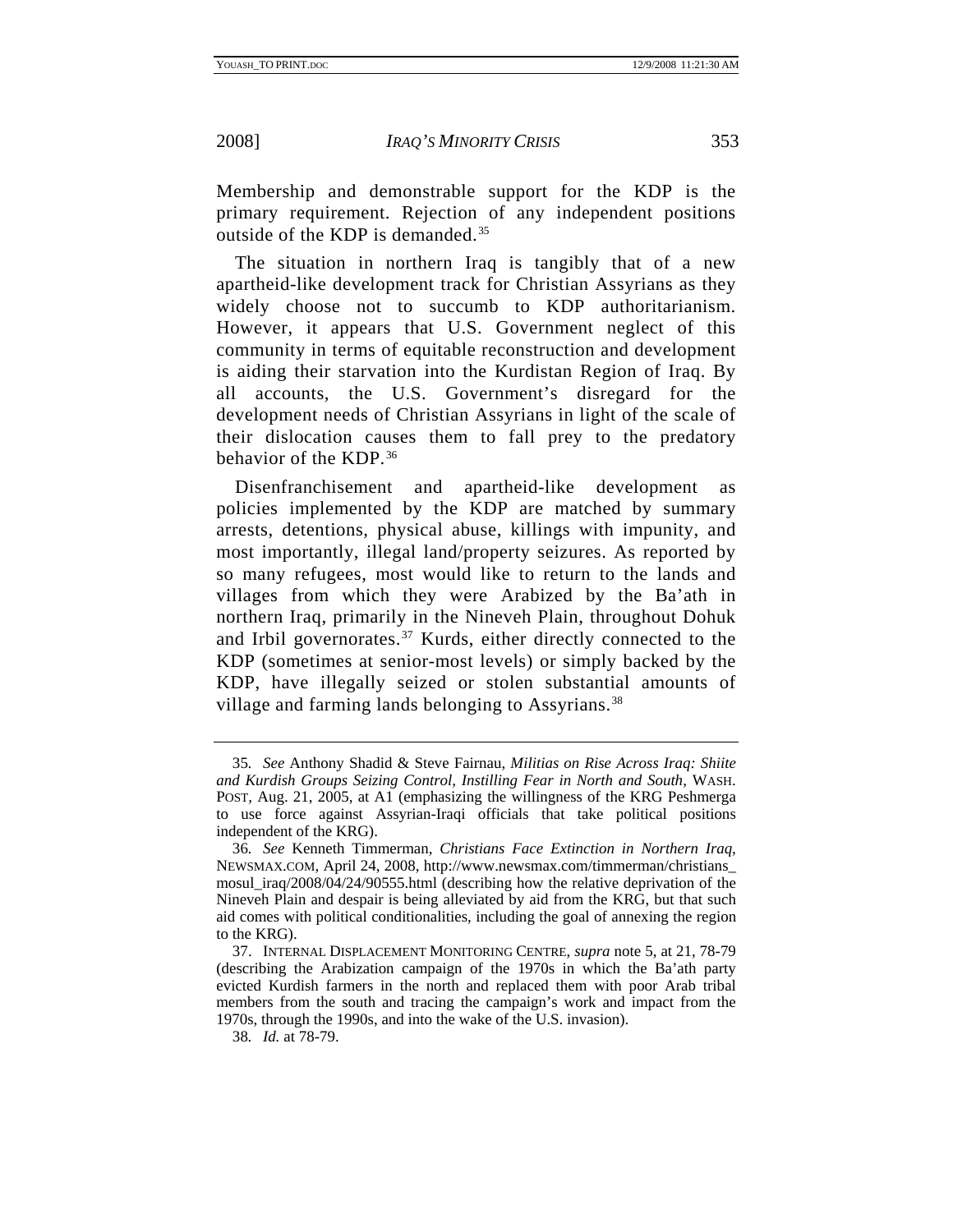Membership and demonstrable support for the KDP is the primary requirement. Rejection of any independent positions outside of the KDP is demanded.[35](#page-13-0)

The situation in northern Iraq is tangibly that of a new apartheid-like development track for Christian Assyrians as they widely choose not to succumb to KDP authoritarianism. However, it appears that U.S. Government neglect of this community in terms of equitable reconstruction and development is aiding their starvation into the Kurdistan Region of Iraq. By all accounts, the U.S. Government's disregard for the development needs of Christian Assyrians in light of the scale of their dislocation causes them to fall prey to the predatory behavior of the KDP.<sup>[36](#page-13-1)</sup>

Disenfranchisement and apartheid-like development as policies implemented by the KDP are matched by summary arrests, detentions, physical abuse, killings with impunity, and most importantly, illegal land/property seizures. As reported by so many refugees, most would like to return to the lands and villages from which they were Arabized by the Ba'ath in northern Iraq, primarily in the Nineveh Plain, throughout Dohuk and Irbil governorates.<sup>[37](#page-13-2)</sup> Kurds, either directly connected to the KDP (sometimes at senior-most levels) or simply backed by the KDP, have illegally seized or stolen substantial amounts of village and farming lands belonging to Assyrians.<sup>[38](#page-13-3)</sup>

<span id="page-13-0"></span><sup>35</sup>*. See* Anthony Shadid & Steve Fairnau, *Militias on Rise Across Iraq: Shiite and Kurdish Groups Seizing Control, Instilling Fear in North and South*, WASH. POST*,* Aug. 21, 2005, at A1 (emphasizing the willingness of the KRG Peshmerga to use force against Assyrian-Iraqi officials that take political positions independent of the KRG).

<span id="page-13-1"></span><sup>36</sup>*. See* Kenneth Timmerman, *Christians Face Extinction in Northern Iraq*, NEWSMAX.COM, April 24, 2008, http://www.newsmax.com/timmerman/christians\_ mosul\_iraq/2008/04/24/90555.html (describing how the relative deprivation of the Nineveh Plain and despair is being alleviated by aid from the KRG, but that such aid comes with political conditionalities, including the goal of annexing the region to the KRG).

<span id="page-13-2"></span> <sup>37.</sup> INTERNAL DISPLACEMENT MONITORING CENTRE, *supra* note 5, at 21, 78-79 (describing the Arabization campaign of the 1970s in which the Ba'ath party evicted Kurdish farmers in the north and replaced them with poor Arab tribal members from the south and tracing the campaign's work and impact from the 1970s, through the 1990s, and into the wake of the U.S. invasion).

<span id="page-13-3"></span><sup>38</sup>*. Id.* at 78-79.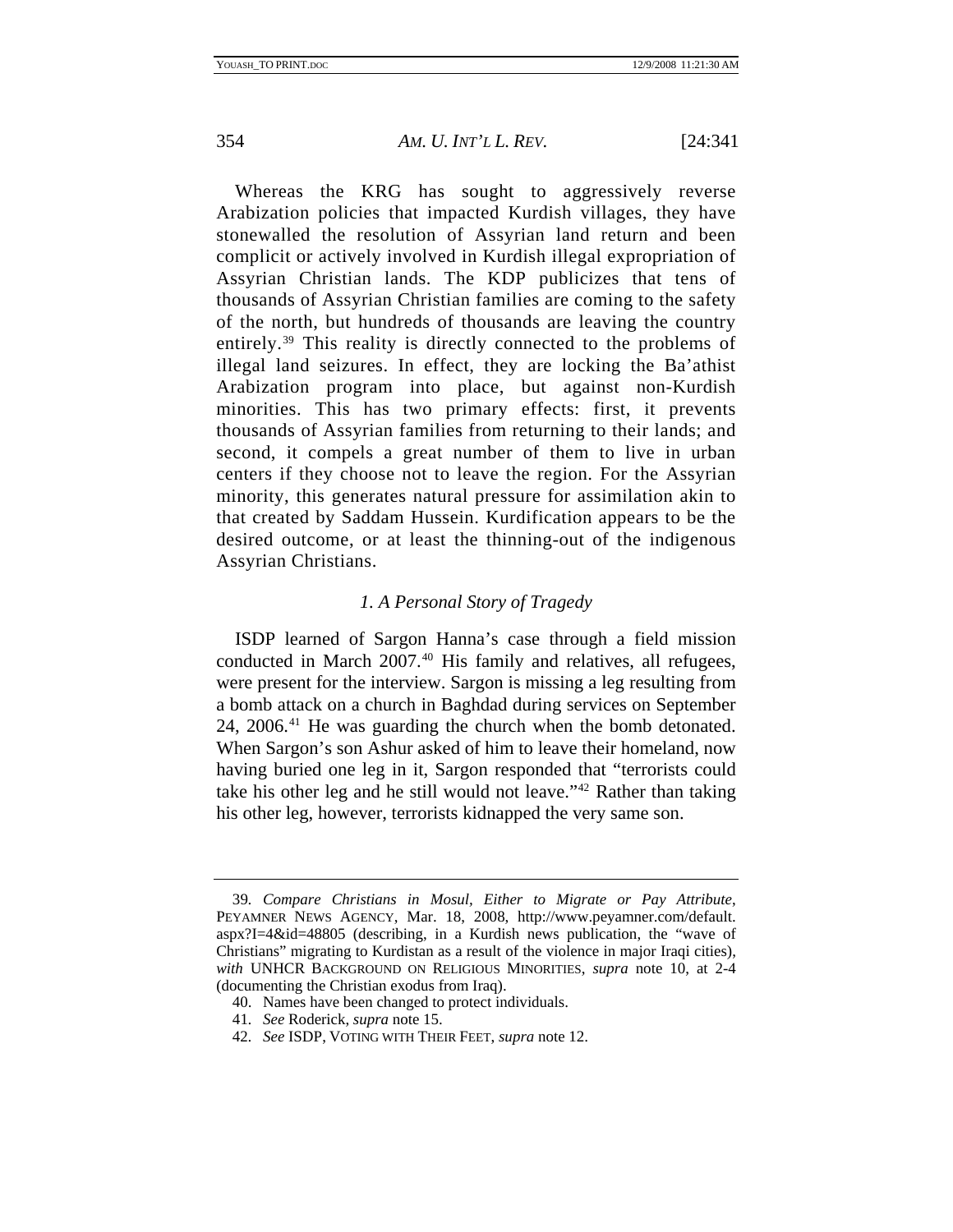<span id="page-14-0"></span>

Whereas the KRG has sought to aggressively reverse Arabization policies that impacted Kurdish villages, they have stonewalled the resolution of Assyrian land return and been complicit or actively involved in Kurdish illegal expropriation of Assyrian Christian lands. The KDP publicizes that tens of thousands of Assyrian Christian families are coming to the safety of the north, but hundreds of thousands are leaving the country entirely.[39](#page-14-1) This reality is directly connected to the problems of illegal land seizures. In effect, they are locking the Ba'athist Arabization program into place, but against non-Kurdish minorities. This has two primary effects: first, it prevents thousands of Assyrian families from returning to their lands; and second, it compels a great number of them to live in urban centers if they choose not to leave the region. For the Assyrian minority, this generates natural pressure for assimilation akin to that created by Saddam Hussein. Kurdification appears to be the desired outcome, or at least the thinning-out of the indigenous Assyrian Christians.

## *1. A Personal Story of Tragedy*

ISDP learned of Sargon Hanna's case through a field mission conducted in March 2007.<sup>[40](#page-14-2)</sup> His family and relatives, all refugees, were present for the interview. Sargon is missing a leg resulting from a bomb attack on a church in Baghdad during services on September 24, 2006.[41](#page-14-3) He was guarding the church when the bomb detonated. When Sargon's son Ashur asked of him to leave their homeland, now having buried one leg in it, Sargon responded that "terrorists could take his other leg and he still would not leave."[42](#page-14-4) Rather than taking his other leg, however, terrorists kidnapped the very same son.

<span id="page-14-1"></span><sup>39</sup>*. Compare Christians in Mosul, Either to Migrate or Pay Attribute*, PEYAMNER NEWS AGENCY, Mar. 18, 2008, http://www.peyamner.com/default. aspx?I=4&id=48805 (describing, in a Kurdish news publication, the "wave of Christians" migrating to Kurdistan as a result of the violence in major Iraqi cities), *with* UNHCR BACKGROUND ON RELIGIOUS MINORITIES, *supra* note 10, at 2-4 (documenting the Christian exodus from Iraq).

<span id="page-14-2"></span> <sup>40.</sup> Names have been changed to protect individuals.

<span id="page-14-3"></span><sup>41</sup>*. See* Roderick, *supra* note 15.

<span id="page-14-4"></span><sup>42</sup>*. See* ISDP, VOTING WITH THEIR FEET, *supra* note 12.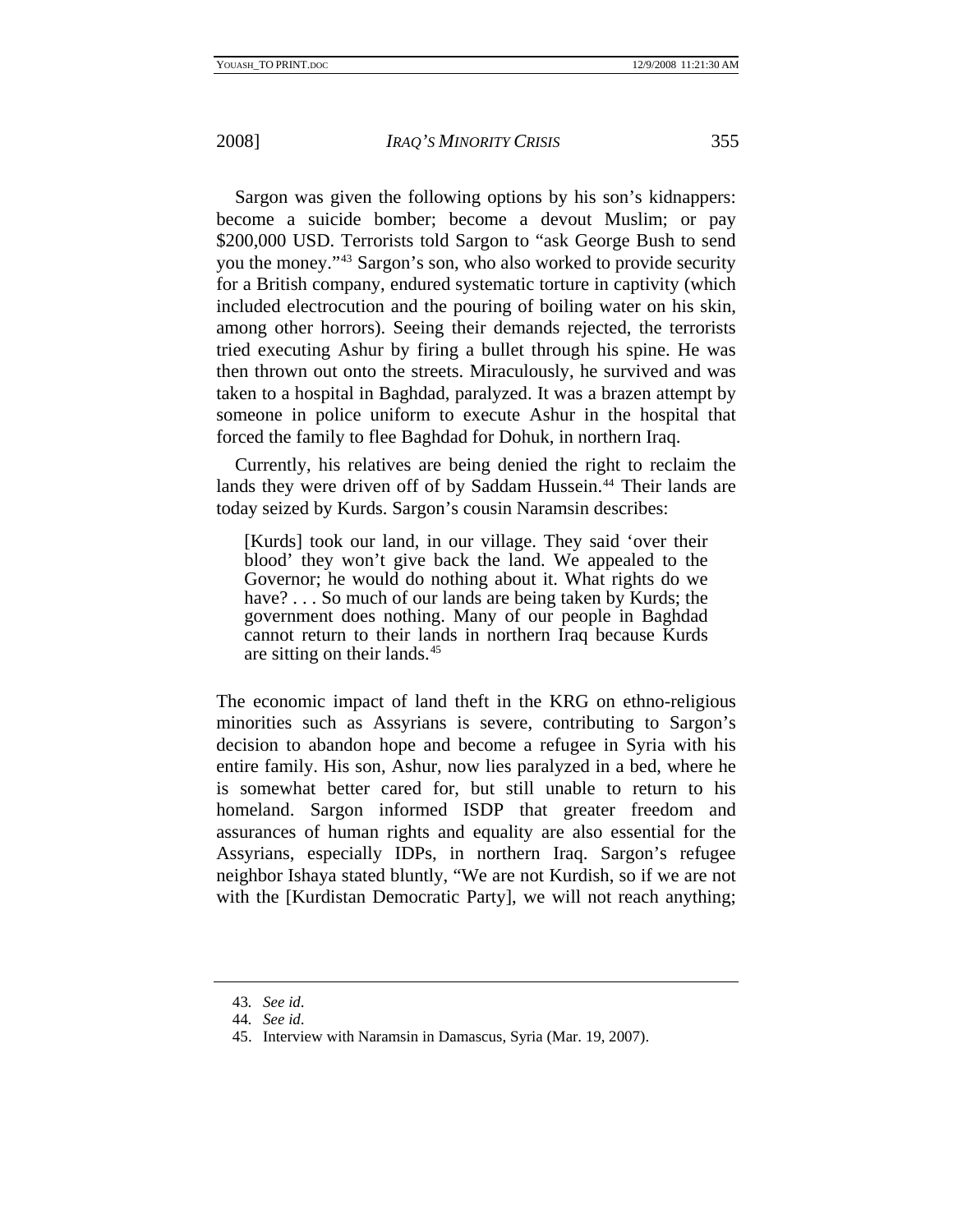Sargon was given the following options by his son's kidnappers: become a suicide bomber; become a devout Muslim; or pay \$200,000 USD. Terrorists told Sargon to "ask George Bush to send you the money."[43](#page-15-0) Sargon's son, who also worked to provide security for a British company, endured systematic torture in captivity (which included electrocution and the pouring of boiling water on his skin, among other horrors). Seeing their demands rejected, the terrorists tried executing Ashur by firing a bullet through his spine. He was then thrown out onto the streets. Miraculously, he survived and was taken to a hospital in Baghdad, paralyzed. It was a brazen attempt by

Currently, his relatives are being denied the right to reclaim the lands they were driven off of by Saddam Hussein.<sup>[44](#page-15-1)</sup> Their lands are today seized by Kurds. Sargon's cousin Naramsin describes:

someone in police uniform to execute Ashur in the hospital that

forced the family to flee Baghdad for Dohuk, in northern Iraq.

[Kurds] took our land, in our village. They said 'over their blood' they won't give back the land. We appealed to the Governor; he would do nothing about it. What rights do we have? . . . So much of our lands are being taken by Kurds; the government does nothing. Many of our people in Baghdad cannot return to their lands in northern Iraq because Kurds are sitting on their lands.[45](#page-15-2)

The economic impact of land theft in the KRG on ethno-religious minorities such as Assyrians is severe, contributing to Sargon's decision to abandon hope and become a refugee in Syria with his entire family. His son, Ashur, now lies paralyzed in a bed, where he is somewhat better cared for, but still unable to return to his homeland. Sargon informed ISDP that greater freedom and assurances of human rights and equality are also essential for the Assyrians, especially IDPs, in northern Iraq. Sargon's refugee neighbor Ishaya stated bluntly, "We are not Kurdish, so if we are not with the [Kurdistan Democratic Party], we will not reach anything;

<span id="page-15-0"></span><sup>43</sup>*. See id*.

<span id="page-15-1"></span><sup>44</sup>*. See id*.

<span id="page-15-2"></span> <sup>45.</sup> Interview with Naramsin in Damascus, Syria (Mar. 19, 2007).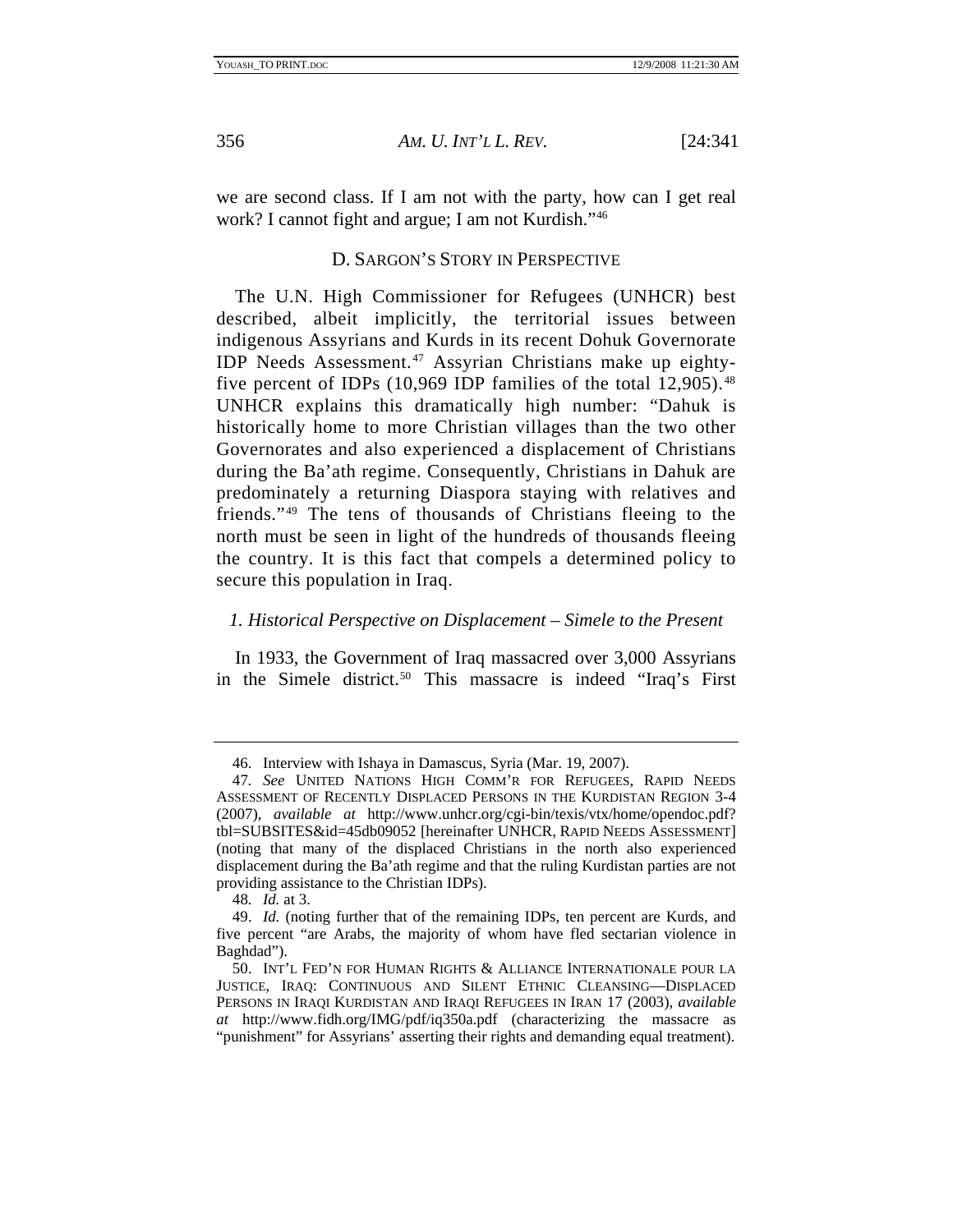<span id="page-16-0"></span>

we are second class. If I am not with the party, how can I get real work? I cannot fight and argue; I am not Kurdish.["46](#page-16-1)

## D. SARGON'S STORY IN PERSPECTIVE

The U.N. High Commissioner for Refugees (UNHCR) best described, albeit implicitly, the territorial issues between indigenous Assyrians and Kurds in its recent Dohuk Governorate IDP Needs Assessment.<sup>[47](#page-16-2)</sup> Assyrian Christians make up eightyfive percent of IDPs  $(10,969$  IDP families of the total  $12,905$ .<sup>[48](#page-16-3)</sup> UNHCR explains this dramatically high number: "Dahuk is historically home to more Christian villages than the two other Governorates and also experienced a displacement of Christians during the Ba'ath regime. Consequently, Christians in Dahuk are predominately a returning Diaspora staying with relatives and friends."[49](#page-16-4) The tens of thousands of Christians fleeing to the north must be seen in light of the hundreds of thousands fleeing the country. It is this fact that compels a determined policy to secure this population in Iraq.

#### *1. Historical Perspective on Displacement – Simele to the Present*

In 1933, the Government of Iraq massacred over 3,000 Assyrians in the Simele district.<sup>[50](#page-16-5)</sup> This massacre is indeed "Iraq's First

 <sup>46.</sup> Interview with Ishaya in Damascus, Syria (Mar. 19, 2007).

<span id="page-16-2"></span><span id="page-16-1"></span><sup>47</sup>*. See* UNITED NATIONS HIGH COMM'R FOR REFUGEES, RAPID NEEDS ASSESSMENT OF RECENTLY DISPLACED PERSONS IN THE KURDISTAN REGION 3-4 (2007), *available at* http://www.unhcr.org/cgi-bin/texis/vtx/home/opendoc.pdf? tbl=SUBSITES&id=45db09052 [hereinafter UNHCR, RAPID NEEDS ASSESSMENT] (noting that many of the displaced Christians in the north also experienced displacement during the Ba'ath regime and that the ruling Kurdistan parties are not providing assistance to the Christian IDPs).

<sup>48</sup>*. Id.* at 3.

<span id="page-16-4"></span><span id="page-16-3"></span> <sup>49.</sup> *Id.* (noting further that of the remaining IDPs, ten percent are Kurds, and five percent "are Arabs, the majority of whom have fled sectarian violence in Baghdad").

<span id="page-16-5"></span> <sup>50.</sup> INT'L FED'N FOR HUMAN RIGHTS & ALLIANCE INTERNATIONALE POUR LA JUSTICE, IRAQ: CONTINUOUS AND SILENT ETHNIC CLEANSING—DISPLACED PERSONS IN IRAQI KURDISTAN AND IRAQI REFUGEES IN IRAN 17 (2003), *available at* http://www.fidh.org/IMG/pdf/iq350a.pdf (characterizing the massacre as "punishment" for Assyrians' asserting their rights and demanding equal treatment).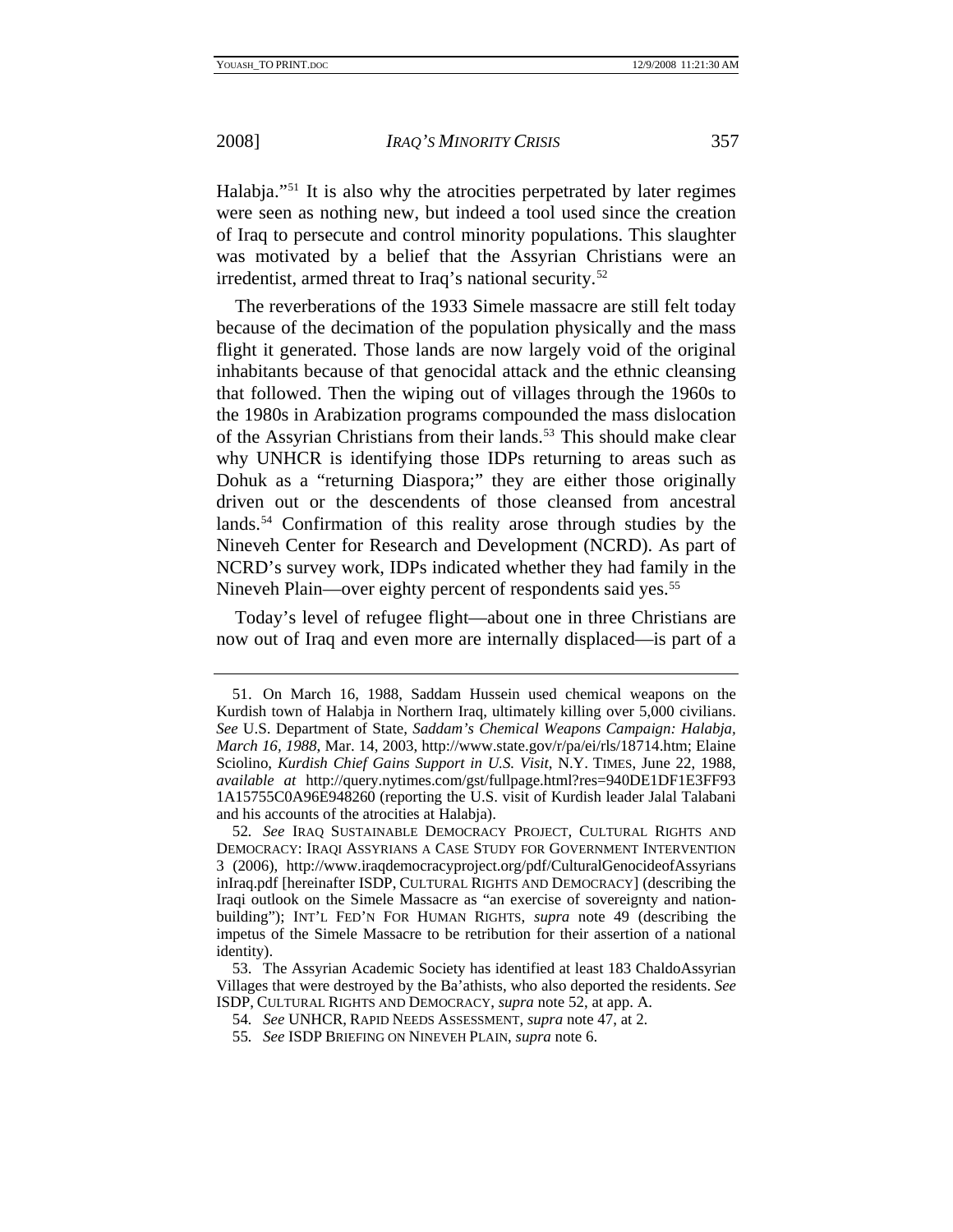Halabja."[51](#page-17-0) It is also why the atrocities perpetrated by later regimes were seen as nothing new, but indeed a tool used since the creation of Iraq to persecute and control minority populations. This slaughter was motivated by a belief that the Assyrian Christians were an irredentist, armed threat to Iraq's national security.<sup>[52](#page-17-1)</sup>

The reverberations of the 1933 Simele massacre are still felt today because of the decimation of the population physically and the mass flight it generated. Those lands are now largely void of the original inhabitants because of that genocidal attack and the ethnic cleansing that followed. Then the wiping out of villages through the 1960s to the 1980s in Arabization programs compounded the mass dislocation of the Assyrian Christians from their lands.<sup>53</sup> This should make clear why UNHCR is identifying those IDPs returning to areas such as Dohuk as a "returning Diaspora;" they are either those originally driven out or the descendents of those cleansed from ancestral lands.<sup>[54](#page-17-3)</sup> Confirmation of this reality arose through studies by the Nineveh Center for Research and Development (NCRD). As part of NCRD's survey work, IDPs indicated whether they had family in the Nineveh Plain—over eighty percent of respondents said yes.<sup>[55](#page-17-4)</sup>

Today's level of refugee flight—about one in three Christians are now out of Iraq and even more are internally displaced—is part of a

<span id="page-17-0"></span> <sup>51.</sup> On March 16, 1988, Saddam Hussein used chemical weapons on the Kurdish town of Halabja in Northern Iraq, ultimately killing over 5,000 civilians. *See* U.S. Department of State, *Saddam's Chemical Weapons Campaign: Halabja, March 16, 1988*, Mar. 14, 2003, http://www.state.gov/r/pa/ei/rls/18714.htm; Elaine Sciolino, *Kurdish Chief Gains Support in U.S. Visit*, N.Y. TIMES, June 22, 1988, *available at* http://query.nytimes.com/gst/fullpage.html?res=940DE1DF1E3FF93 1A15755C0A96E948260 (reporting the U.S. visit of Kurdish leader Jalal Talabani and his accounts of the atrocities at Halabja).

<span id="page-17-1"></span><sup>52</sup>*. See* IRAQ SUSTAINABLE DEMOCRACY PROJECT, CULTURAL RIGHTS AND DEMOCRACY: IRAQI ASSYRIANS A CASE STUDY FOR GOVERNMENT INTERVENTION 3 (2006), http://www.iraqdemocracyproject.org/pdf/CulturalGenocideofAssyrians inIraq.pdf [hereinafter ISDP, CULTURAL RIGHTS AND DEMOCRACY] (describing the Iraqi outlook on the Simele Massacre as "an exercise of sovereignty and nationbuilding"); INT'L FED'N FOR HUMAN RIGHTS, *supra* note 49 (describing the impetus of the Simele Massacre to be retribution for their assertion of a national identity).

<span id="page-17-4"></span><span id="page-17-3"></span><span id="page-17-2"></span> <sup>53.</sup> The Assyrian Academic Society has identified at least 183 ChaldoAssyrian Villages that were destroyed by the Ba'athists, who also deported the residents. *See* ISDP, CULTURAL RIGHTS AND DEMOCRACY, *supra* note 52, at app. A.

<sup>54</sup>*. See* UNHCR, RAPID NEEDS ASSESSMENT, *supra* note 47, at 2.

<sup>55</sup>*. See* ISDP BRIEFING ON NINEVEH PLAIN, *supra* note 6.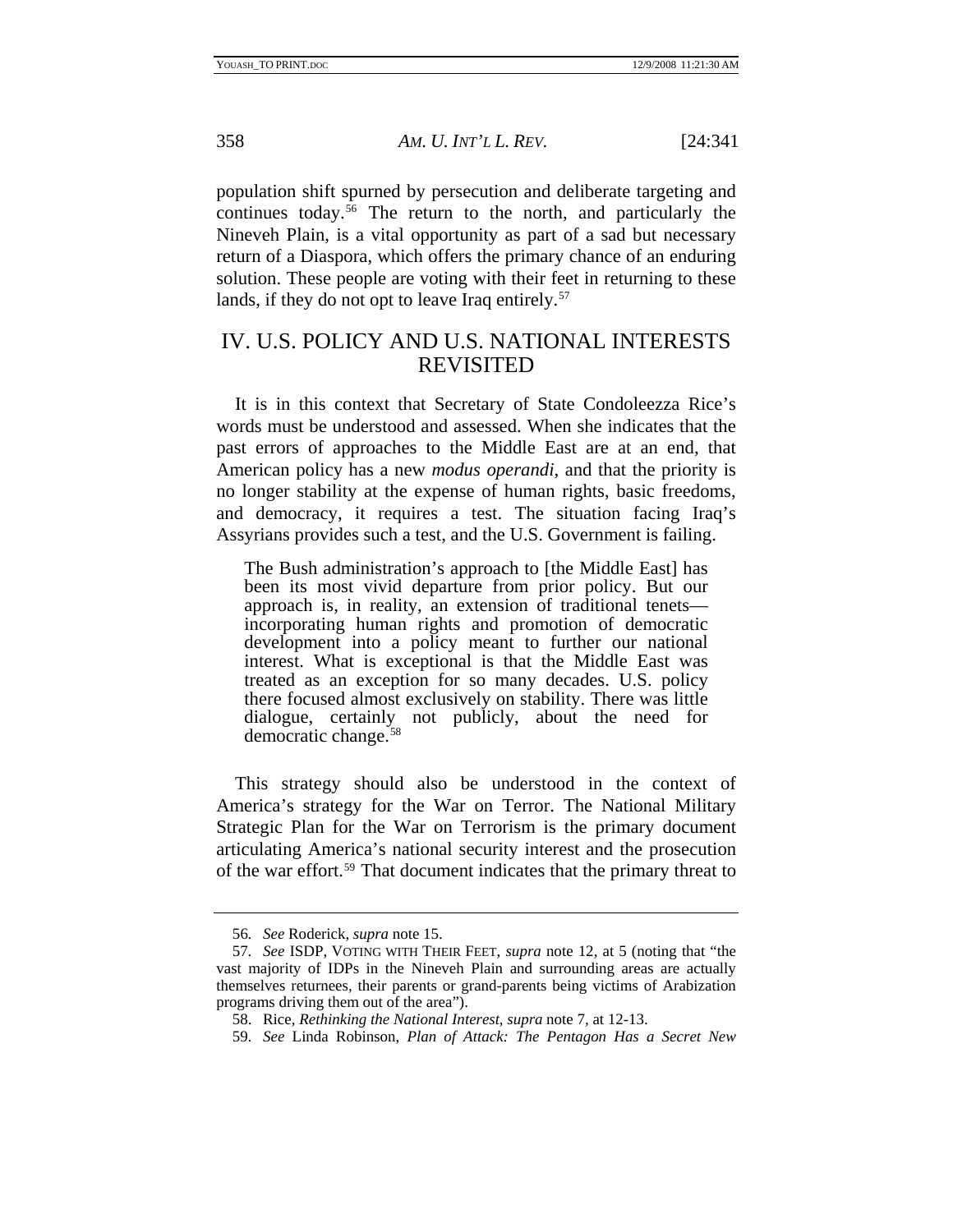<span id="page-18-0"></span>

population shift spurned by persecution and deliberate targeting and continues today.[56](#page-18-1) The return to the north, and particularly the Nineveh Plain, is a vital opportunity as part of a sad but necessary return of a Diaspora, which offers the primary chance of an enduring solution. These people are voting with their feet in returning to these lands, if they do not opt to leave Iraq entirely.<sup>[57](#page-18-2)</sup>

## IV. U.S. POLICY AND U.S. NATIONAL INTERESTS REVISITED

It is in this context that Secretary of State Condoleezza Rice's words must be understood and assessed. When she indicates that the past errors of approaches to the Middle East are at an end, that American policy has a new *modus operandi*, and that the priority is no longer stability at the expense of human rights, basic freedoms, and democracy, it requires a test. The situation facing Iraq's Assyrians provides such a test, and the U.S. Government is failing.

The Bush administration's approach to [the Middle East] has been its most vivid departure from prior policy. But our approach is, in reality, an extension of traditional tenets incorporating human rights and promotion of democratic development into a policy meant to further our national interest. What is exceptional is that the Middle East was treated as an exception for so many decades. U.S. policy there focused almost exclusively on stability. There was little dialogue, certainly not publicly, about the need for democratic change.[58](#page-18-3)

This strategy should also be understood in the context of America's strategy for the War on Terror. The National Military Strategic Plan for the War on Terrorism is the primary document articulating America's national security interest and the prosecution of the war effort.[59](#page-18-4) That document indicates that the primary threat to

<sup>56</sup>*. See* Roderick, *supra* note 15.

<span id="page-18-3"></span><span id="page-18-2"></span><span id="page-18-1"></span><sup>57</sup>*. See* ISDP, VOTING WITH THEIR FEET, *supra* note 12, at 5 (noting that "the vast majority of IDPs in the Nineveh Plain and surrounding areas are actually themselves returnees, their parents or grand-parents being victims of Arabization programs driving them out of the area").

 <sup>58.</sup> Rice, *Rethinking the National Interest*, *supra* note 7, at 12-13.

<span id="page-18-4"></span><sup>59</sup>*. See* Linda Robinson, *Plan of Attack: The Pentagon Has a Secret New*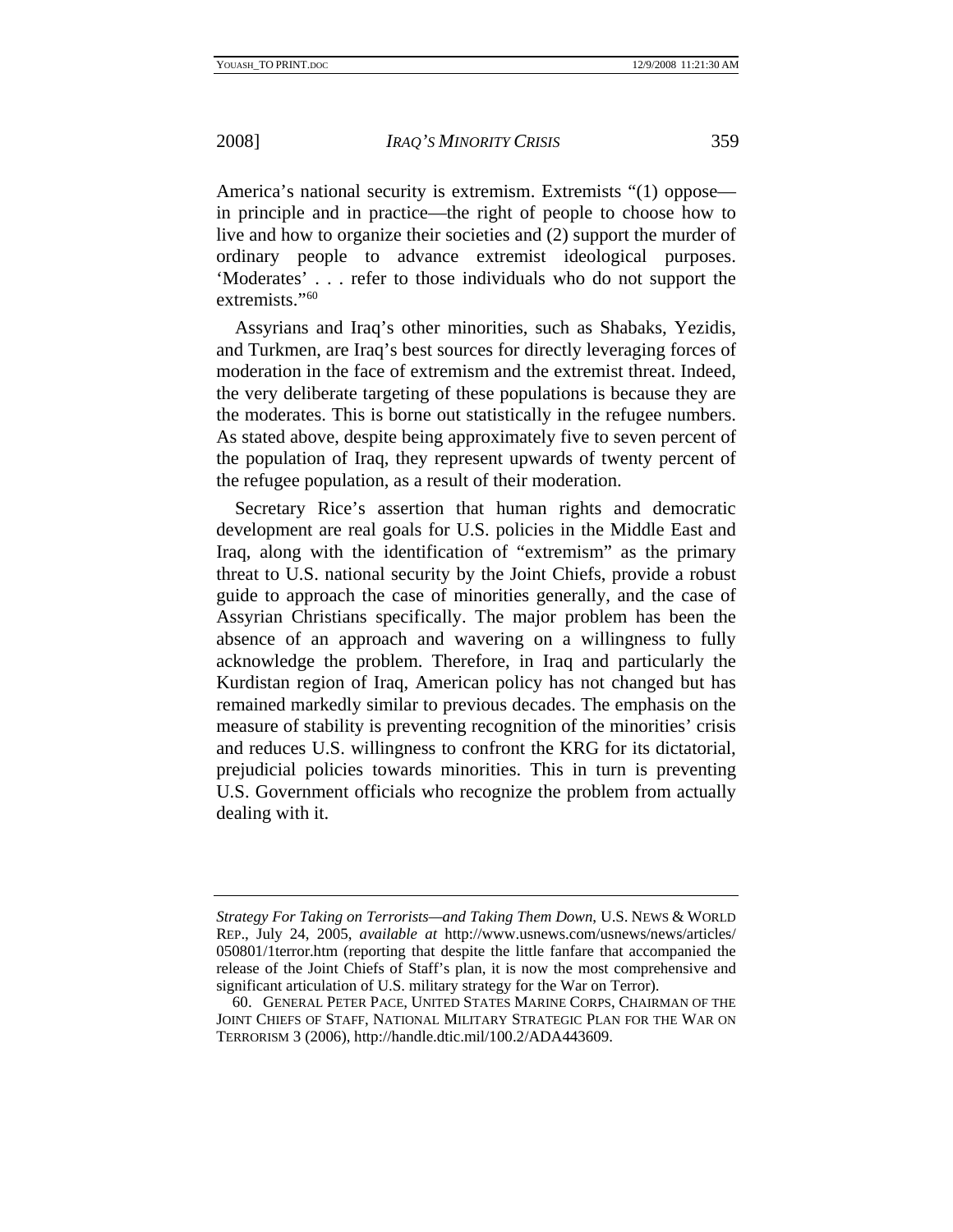America's national security is extremism. Extremists "(1) oppose in principle and in practice—the right of people to choose how to live and how to organize their societies and (2) support the murder of ordinary people to advance extremist ideological purposes. 'Moderates' . . . refer to those individuals who do not support the extremists."<sup>[60](#page-19-0)</sup>

Assyrians and Iraq's other minorities, such as Shabaks, Yezidis, and Turkmen, are Iraq's best sources for directly leveraging forces of moderation in the face of extremism and the extremist threat. Indeed, the very deliberate targeting of these populations is because they are the moderates. This is borne out statistically in the refugee numbers. As stated above, despite being approximately five to seven percent of the population of Iraq, they represent upwards of twenty percent of the refugee population, as a result of their moderation.

Secretary Rice's assertion that human rights and democratic development are real goals for U.S. policies in the Middle East and Iraq, along with the identification of "extremism" as the primary threat to U.S. national security by the Joint Chiefs, provide a robust guide to approach the case of minorities generally, and the case of Assyrian Christians specifically. The major problem has been the absence of an approach and wavering on a willingness to fully acknowledge the problem. Therefore, in Iraq and particularly the Kurdistan region of Iraq, American policy has not changed but has remained markedly similar to previous decades. The emphasis on the measure of stability is preventing recognition of the minorities' crisis and reduces U.S. willingness to confront the KRG for its dictatorial, prejudicial policies towards minorities. This in turn is preventing U.S. Government officials who recognize the problem from actually dealing with it.

*Strategy For Taking on Terrorists—and Taking Them Down*, U.S. NEWS & WORLD REP., July 24, 2005, *available at* http://www.usnews.com/usnews/news/articles/ 050801/1terror.htm (reporting that despite the little fanfare that accompanied the release of the Joint Chiefs of Staff's plan, it is now the most comprehensive and significant articulation of U.S. military strategy for the War on Terror).

<span id="page-19-0"></span> <sup>60.</sup> GENERAL PETER PACE, UNITED STATES MARINE CORPS, CHAIRMAN OF THE JOINT CHIEFS OF STAFF, NATIONAL MILITARY STRATEGIC PLAN FOR THE WAR ON TERRORISM 3 (2006), http://handle.dtic.mil/100.2/ADA443609.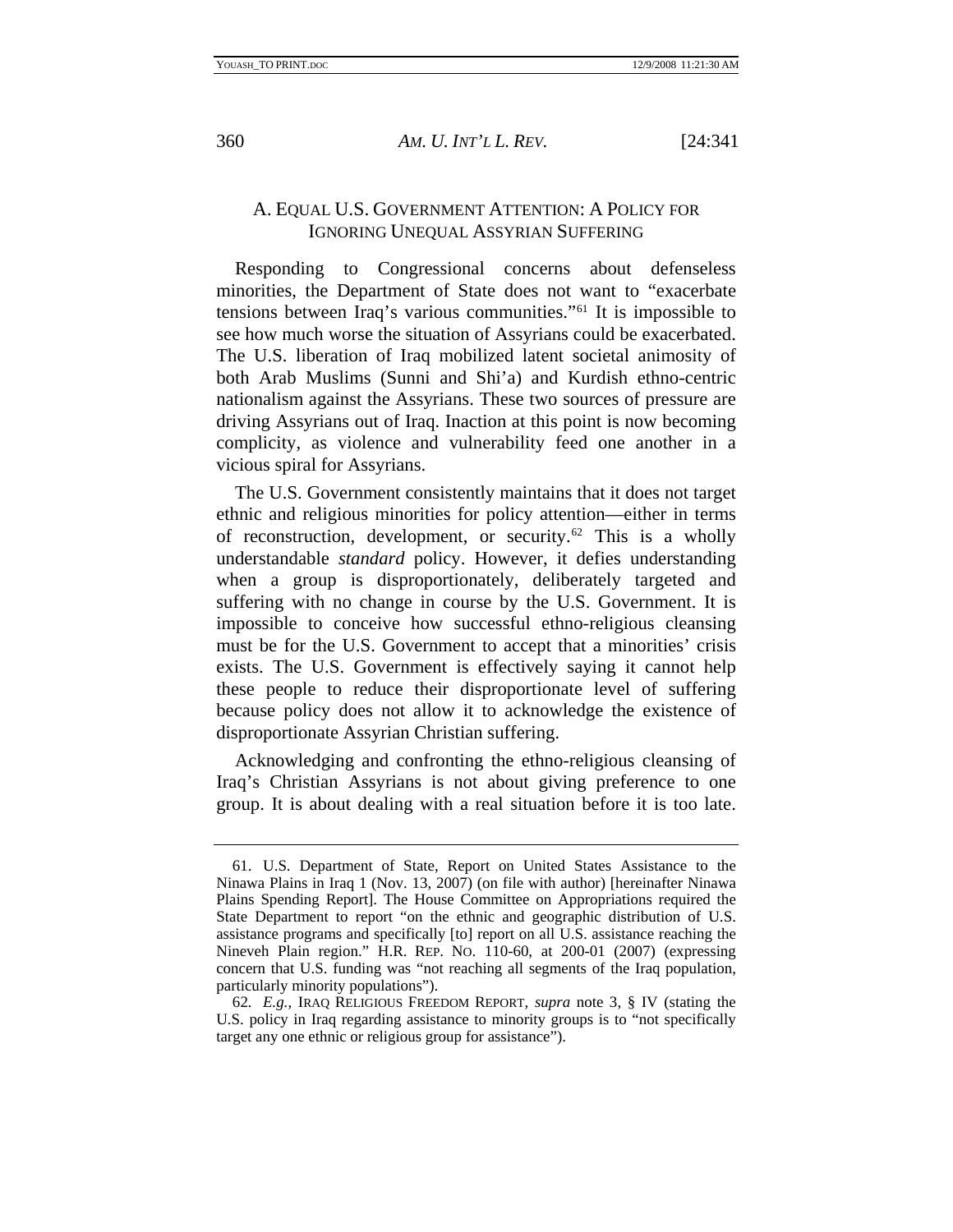<span id="page-20-0"></span>

## A. EQUAL U.S. GOVERNMENT ATTENTION: A POLICY FOR IGNORING UNEQUAL ASSYRIAN SUFFERING

Responding to Congressional concerns about defenseless minorities, the Department of State does not want to "exacerbate tensions between Iraq's various communities."[61](#page-20-1) It is impossible to see how much worse the situation of Assyrians could be exacerbated. The U.S. liberation of Iraq mobilized latent societal animosity of both Arab Muslims (Sunni and Shi'a) and Kurdish ethno-centric nationalism against the Assyrians. These two sources of pressure are driving Assyrians out of Iraq. Inaction at this point is now becoming complicity, as violence and vulnerability feed one another in a vicious spiral for Assyrians.

The U.S. Government consistently maintains that it does not target ethnic and religious minorities for policy attention—either in terms of reconstruction, development, or security.<sup>[62](#page-20-2)</sup> This is a wholly understandable *standard* policy. However, it defies understanding when a group is disproportionately, deliberately targeted and suffering with no change in course by the U.S. Government. It is impossible to conceive how successful ethno-religious cleansing must be for the U.S. Government to accept that a minorities' crisis exists. The U.S. Government is effectively saying it cannot help these people to reduce their disproportionate level of suffering because policy does not allow it to acknowledge the existence of disproportionate Assyrian Christian suffering.

Acknowledging and confronting the ethno-religious cleansing of Iraq's Christian Assyrians is not about giving preference to one group. It is about dealing with a real situation before it is too late.

<span id="page-20-1"></span> <sup>61.</sup> U.S. Department of State, Report on United States Assistance to the Ninawa Plains in Iraq 1 (Nov. 13, 2007) (on file with author) [hereinafter Ninawa Plains Spending Report]. The House Committee on Appropriations required the State Department to report "on the ethnic and geographic distribution of U.S. assistance programs and specifically [to] report on all U.S. assistance reaching the Nineveh Plain region." H.R. REP. NO. 110-60, at 200-01 (2007) (expressing concern that U.S. funding was "not reaching all segments of the Iraq population, particularly minority populations").

<span id="page-20-2"></span><sup>62</sup>*. E.g.*, IRAQ RELIGIOUS FREEDOM REPORT, *supra* note 3, § IV (stating the U.S. policy in Iraq regarding assistance to minority groups is to "not specifically target any one ethnic or religious group for assistance").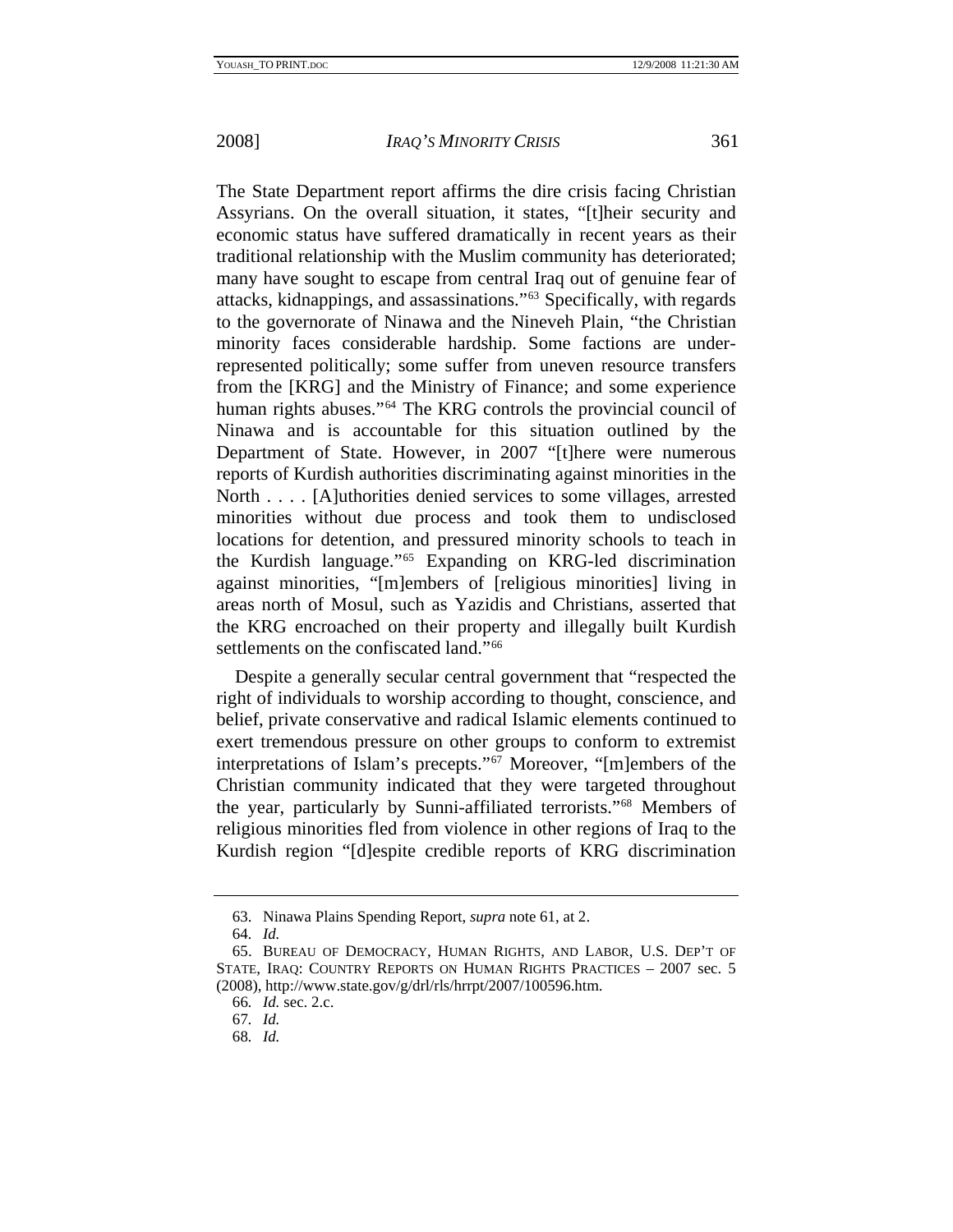The State Department report affirms the dire crisis facing Christian Assyrians. On the overall situation, it states, "[t]heir security and economic status have suffered dramatically in recent years as their traditional relationship with the Muslim community has deteriorated; many have sought to escape from central Iraq out of genuine fear of attacks, kidnappings, and assassinations."[63](#page-21-0) Specifically, with regards to the governorate of Ninawa and the Nineveh Plain, "the Christian minority faces considerable hardship. Some factions are underrepresented politically; some suffer from uneven resource transfers from the [KRG] and the Ministry of Finance; and some experience human rights abuses."<sup>[64](#page-21-1)</sup> The KRG controls the provincial council of Ninawa and is accountable for this situation outlined by the Department of State. However, in 2007 "[t]here were numerous reports of Kurdish authorities discriminating against minorities in the North . . . . [A]uthorities denied services to some villages, arrested minorities without due process and took them to undisclosed locations for detention, and pressured minority schools to teach in the Kurdish language."[65](#page-21-2) Expanding on KRG-led discrimination against minorities, "[m]embers of [religious minorities] living in areas north of Mosul, such as Yazidis and Christians, asserted that the KRG encroached on their property and illegally built Kurdish settlements on the confiscated land."<sup>[66](#page-21-3)</sup>

Despite a generally secular central government that "respected the right of individuals to worship according to thought, conscience, and belief, private conservative and radical Islamic elements continued to exert tremendous pressure on other groups to conform to extremist interpretations of Islam's precepts."[67](#page-21-4) Moreover, "[m]embers of the Christian community indicated that they were targeted throughout the year, particularly by Sunni-affiliated terrorists."[68](#page-21-5) Members of religious minorities fled from violence in other regions of Iraq to the Kurdish region "[d]espite credible reports of KRG discrimination

 <sup>63.</sup> Ninawa Plains Spending Report, *supra* note 61, at 2.

<sup>64</sup>*. Id.*

<span id="page-21-4"></span><span id="page-21-3"></span><span id="page-21-2"></span><span id="page-21-1"></span><span id="page-21-0"></span> <sup>65.</sup> BUREAU OF DEMOCRACY, HUMAN RIGHTS, AND LABOR, U.S. DEP'T OF STATE, IRAQ: COUNTRY REPORTS ON HUMAN RIGHTS PRACTICES – 2007 sec. 5 (2008), http://www.state.gov/g/drl/rls/hrrpt/2007/100596.htm.

<sup>66</sup>*. Id.* sec. 2.c.

<sup>67</sup>*. Id.*

<span id="page-21-5"></span><sup>68</sup>*. Id.*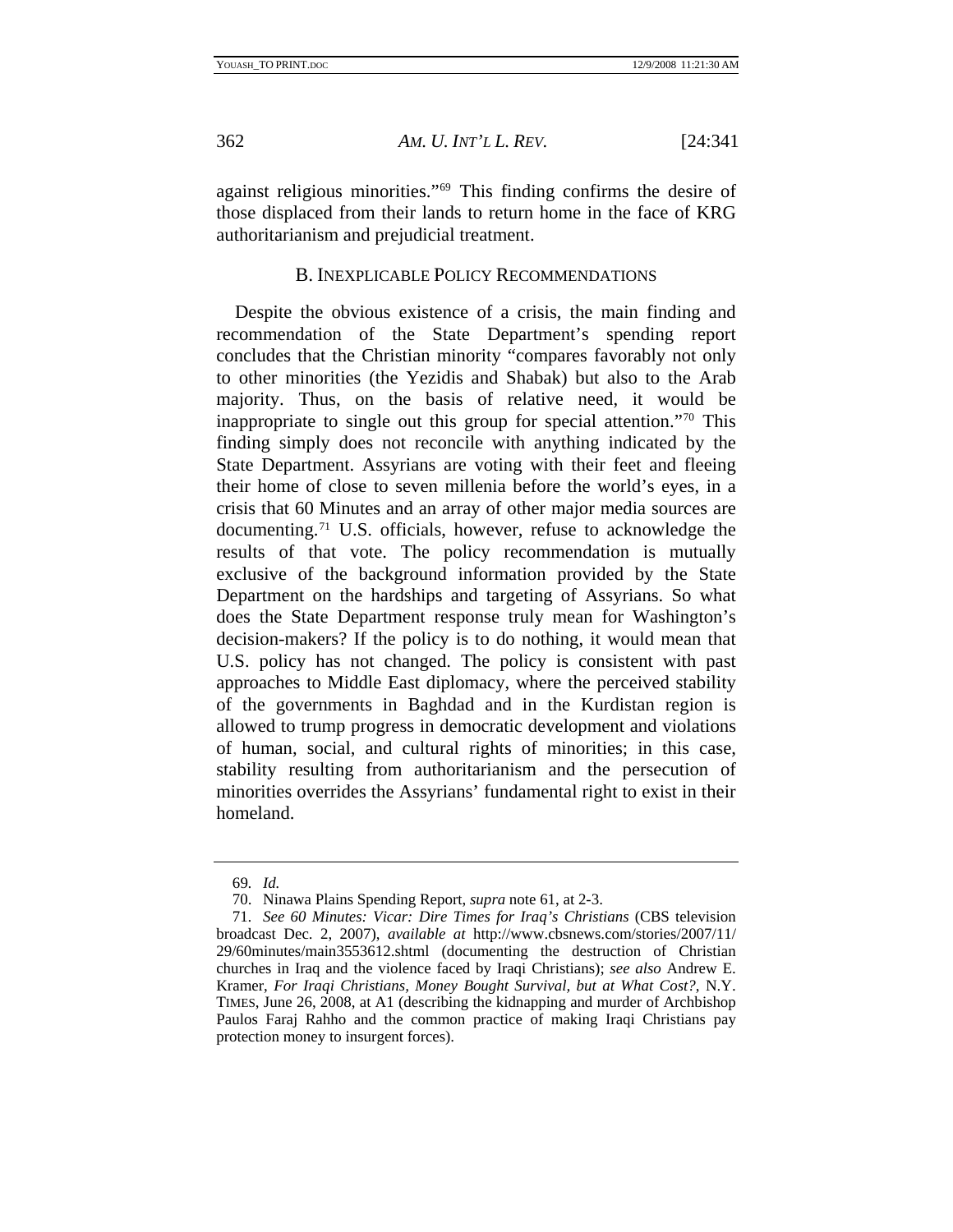<span id="page-22-0"></span>

against religious minorities."[69](#page-22-1) This finding confirms the desire of those displaced from their lands to return home in the face of KRG authoritarianism and prejudicial treatment.

#### B. INEXPLICABLE POLICY RECOMMENDATIONS

Despite the obvious existence of a crisis, the main finding and recommendation of the State Department's spending report concludes that the Christian minority "compares favorably not only to other minorities (the Yezidis and Shabak) but also to the Arab majority. Thus, on the basis of relative need, it would be inappropriate to single out this group for special attention."[70](#page-22-2) This finding simply does not reconcile with anything indicated by the State Department. Assyrians are voting with their feet and fleeing their home of close to seven millenia before the world's eyes, in a crisis that 60 Minutes and an array of other major media sources are documenting.[71](#page-22-3) U.S. officials, however, refuse to acknowledge the results of that vote. The policy recommendation is mutually exclusive of the background information provided by the State Department on the hardships and targeting of Assyrians. So what does the State Department response truly mean for Washington's decision-makers? If the policy is to do nothing, it would mean that U.S. policy has not changed. The policy is consistent with past approaches to Middle East diplomacy, where the perceived stability of the governments in Baghdad and in the Kurdistan region is allowed to trump progress in democratic development and violations of human, social, and cultural rights of minorities; in this case, stability resulting from authoritarianism and the persecution of minorities overrides the Assyrians' fundamental right to exist in their homeland.

<sup>69</sup>*. Id.*

 <sup>70.</sup> Ninawa Plains Spending Report, *supra* note 61, at 2-3.

<span id="page-22-3"></span><span id="page-22-2"></span><span id="page-22-1"></span><sup>71</sup>*. See 60 Minutes: Vicar: Dire Times for Iraq's Christians* (CBS television broadcast Dec. 2, 2007), *available at* http://www.cbsnews.com/stories/2007/11/ 29/60minutes/main3553612.shtml (documenting the destruction of Christian churches in Iraq and the violence faced by Iraqi Christians); *see also* Andrew E. Kramer, *For Iraqi Christians, Money Bought Survival, but at What Cost?*, N.Y. TIMES, June 26, 2008, at A1 (describing the kidnapping and murder of Archbishop Paulos Faraj Rahho and the common practice of making Iraqi Christians pay protection money to insurgent forces).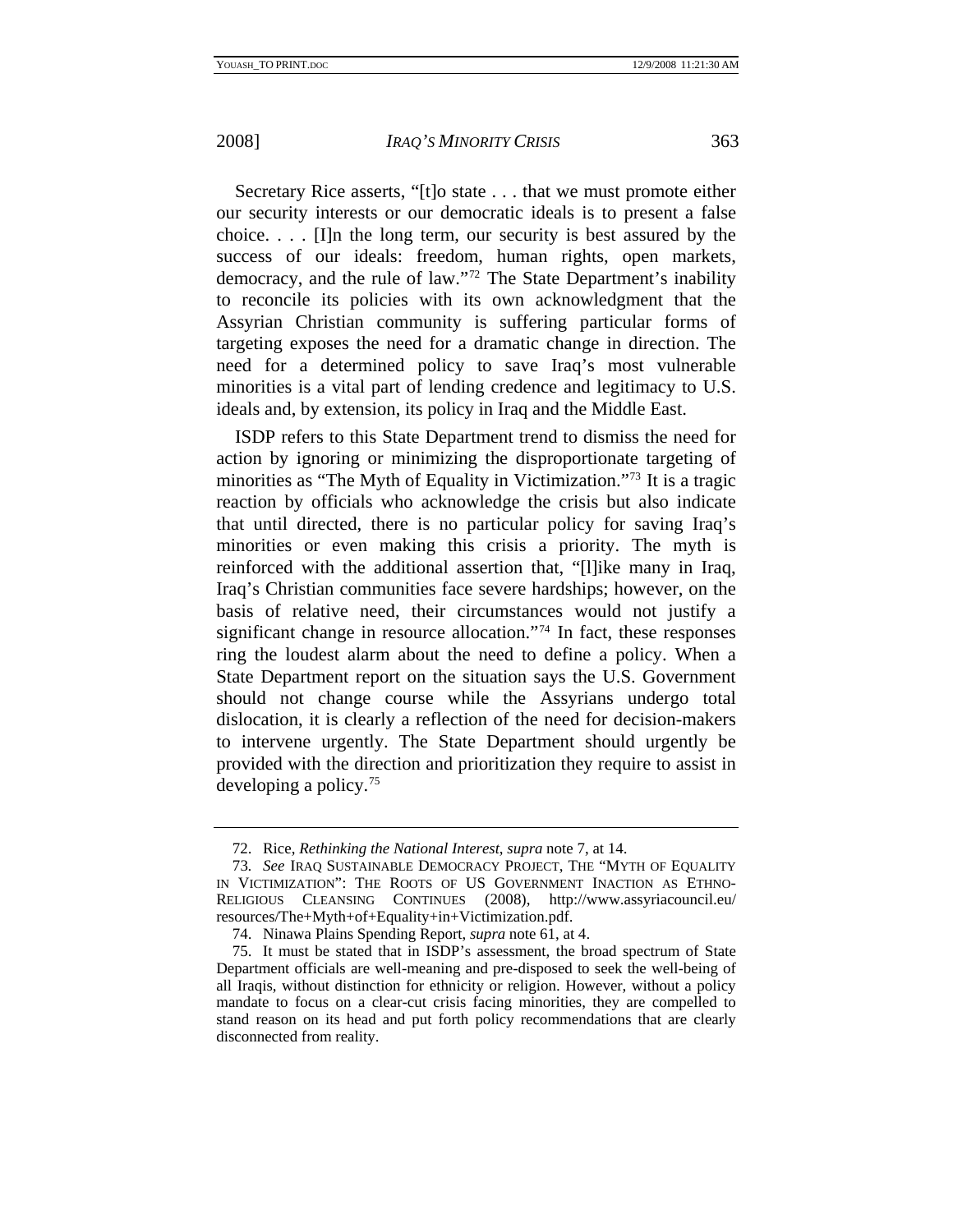Secretary Rice asserts, "[t]o state . . . that we must promote either our security interests or our democratic ideals is to present a false choice. . . . [I]n the long term, our security is best assured by the success of our ideals: freedom, human rights, open markets, democracy, and the rule of law."[72](#page-23-0) The State Department's inability to reconcile its policies with its own acknowledgment that the Assyrian Christian community is suffering particular forms of targeting exposes the need for a dramatic change in direction. The need for a determined policy to save Iraq's most vulnerable minorities is a vital part of lending credence and legitimacy to U.S. ideals and, by extension, its policy in Iraq and the Middle East.

ISDP refers to this State Department trend to dismiss the need for action by ignoring or minimizing the disproportionate targeting of minorities as "The Myth of Equality in Victimization."[73](#page-23-1) It is a tragic reaction by officials who acknowledge the crisis but also indicate that until directed, there is no particular policy for saving Iraq's minorities or even making this crisis a priority. The myth is reinforced with the additional assertion that, "[l]ike many in Iraq, Iraq's Christian communities face severe hardships; however, on the basis of relative need, their circumstances would not justify a significant change in resource allocation.["74](#page-23-2) In fact, these responses ring the loudest alarm about the need to define a policy. When a State Department report on the situation says the U.S. Government should not change course while the Assyrians undergo total dislocation, it is clearly a reflection of the need for decision-makers to intervene urgently. The State Department should urgently be provided with the direction and prioritization they require to assist in developing a policy.[75](#page-23-3)

 <sup>72.</sup> Rice, *Rethinking the National Interest*, *supra* note 7, at 14.

<span id="page-23-1"></span><span id="page-23-0"></span><sup>73</sup>*. See* IRAQ SUSTAINABLE DEMOCRACY PROJECT, THE "MYTH OF EQUALITY IN VICTIMIZATION": THE ROOTS OF US GOVERNMENT INACTION AS ETHNO-RELIGIOUS CLEANSING CONTINUES (2008), http://www.assyriacouncil.eu/ resources/The+Myth+of+Equality+in+Victimization.pdf.

 <sup>74.</sup> Ninawa Plains Spending Report, *supra* note 61, at 4.

<span id="page-23-3"></span><span id="page-23-2"></span> <sup>75.</sup> It must be stated that in ISDP's assessment, the broad spectrum of State Department officials are well-meaning and pre-disposed to seek the well-being of all Iraqis, without distinction for ethnicity or religion. However, without a policy mandate to focus on a clear-cut crisis facing minorities, they are compelled to stand reason on its head and put forth policy recommendations that are clearly disconnected from reality.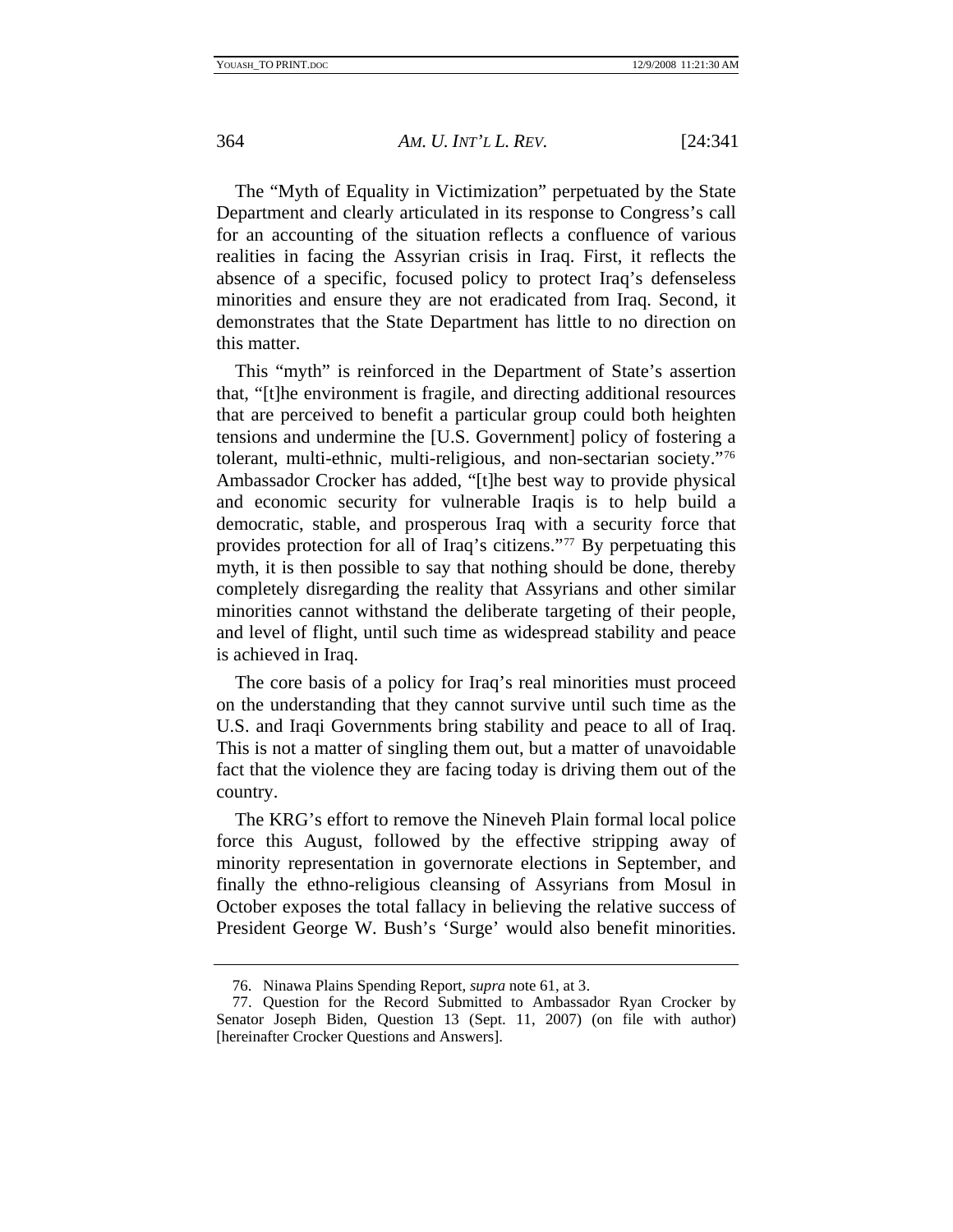The "Myth of Equality in Victimization" perpetuated by the State Department and clearly articulated in its response to Congress's call for an accounting of the situation reflects a confluence of various realities in facing the Assyrian crisis in Iraq. First, it reflects the absence of a specific, focused policy to protect Iraq's defenseless minorities and ensure they are not eradicated from Iraq. Second, it demonstrates that the State Department has little to no direction on this matter.

This "myth" is reinforced in the Department of State's assertion that, "[t]he environment is fragile, and directing additional resources that are perceived to benefit a particular group could both heighten tensions and undermine the [U.S. Government] policy of fostering a tolerant, multi-ethnic, multi-religious, and non-sectarian society."[76](#page-24-0) Ambassador Crocker has added, "[t]he best way to provide physical and economic security for vulnerable Iraqis is to help build a democratic, stable, and prosperous Iraq with a security force that provides protection for all of Iraq's citizens."[77](#page-24-1) By perpetuating this myth, it is then possible to say that nothing should be done, thereby completely disregarding the reality that Assyrians and other similar minorities cannot withstand the deliberate targeting of their people, and level of flight, until such time as widespread stability and peace is achieved in Iraq.

The core basis of a policy for Iraq's real minorities must proceed on the understanding that they cannot survive until such time as the U.S. and Iraqi Governments bring stability and peace to all of Iraq. This is not a matter of singling them out, but a matter of unavoidable fact that the violence they are facing today is driving them out of the country.

The KRG's effort to remove the Nineveh Plain formal local police force this August, followed by the effective stripping away of minority representation in governorate elections in September, and finally the ethno-religious cleansing of Assyrians from Mosul in October exposes the total fallacy in believing the relative success of President George W. Bush's 'Surge' would also benefit minorities.

 <sup>76.</sup> Ninawa Plains Spending Report, *supra* note 61, at 3.

<span id="page-24-1"></span><span id="page-24-0"></span> <sup>77.</sup> Question for the Record Submitted to Ambassador Ryan Crocker by Senator Joseph Biden, Question 13 (Sept. 11, 2007) (on file with author) [hereinafter Crocker Questions and Answers].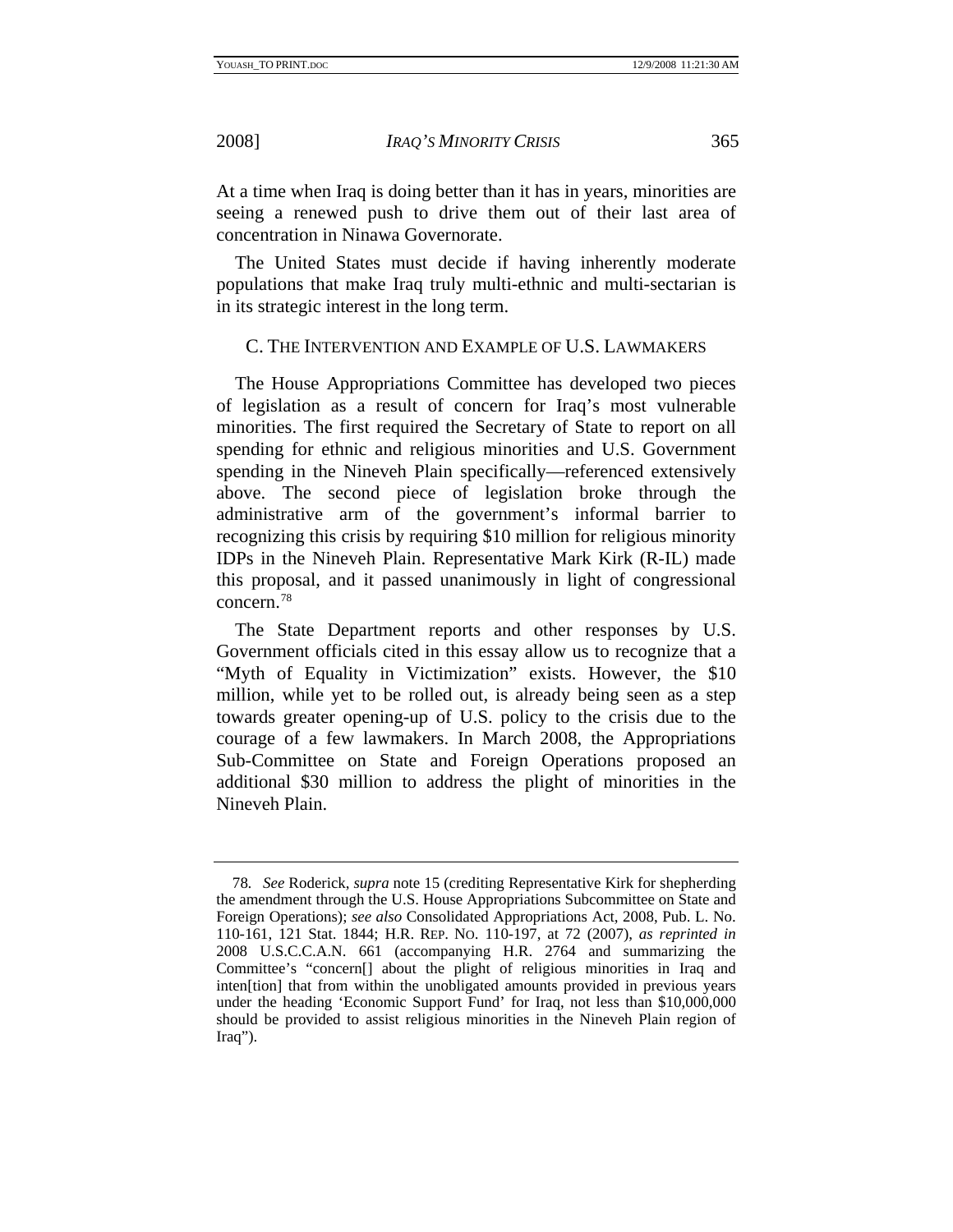<span id="page-25-0"></span>

At a time when Iraq is doing better than it has in years, minorities are seeing a renewed push to drive them out of their last area of concentration in Ninawa Governorate.

The United States must decide if having inherently moderate populations that make Iraq truly multi-ethnic and multi-sectarian is in its strategic interest in the long term.

#### C. THE INTERVENTION AND EXAMPLE OF U.S. LAWMAKERS

The House Appropriations Committee has developed two pieces of legislation as a result of concern for Iraq's most vulnerable minorities. The first required the Secretary of State to report on all spending for ethnic and religious minorities and U.S. Government spending in the Nineveh Plain specifically—referenced extensively above. The second piece of legislation broke through the administrative arm of the government's informal barrier to recognizing this crisis by requiring \$10 million for religious minority IDPs in the Nineveh Plain. Representative Mark Kirk (R-IL) made this proposal, and it passed unanimously in light of congressional concern[.78](#page-25-1)

The State Department reports and other responses by U.S. Government officials cited in this essay allow us to recognize that a "Myth of Equality in Victimization" exists. However, the \$10 million, while yet to be rolled out, is already being seen as a step towards greater opening-up of U.S. policy to the crisis due to the courage of a few lawmakers. In March 2008, the Appropriations Sub-Committee on State and Foreign Operations proposed an additional \$30 million to address the plight of minorities in the Nineveh Plain.

<span id="page-25-1"></span><sup>78</sup>*. See* Roderick, *supra* note 15 (crediting Representative Kirk for shepherding the amendment through the U.S. House Appropriations Subcommittee on State and Foreign Operations); *see also* Consolidated Appropriations Act, 2008, Pub. L. No. 110-161, 121 Stat. 1844; H.R. REP. NO. 110-197, at 72 (2007), *as reprinted in* 2008 U.S.C.C.A.N. 661 (accompanying H.R. 2764 and summarizing the Committee's "concern[] about the plight of religious minorities in Iraq and inten[tion] that from within the unobligated amounts provided in previous years under the heading 'Economic Support Fund' for Iraq, not less than \$10,000,000 should be provided to assist religious minorities in the Nineveh Plain region of Iraq").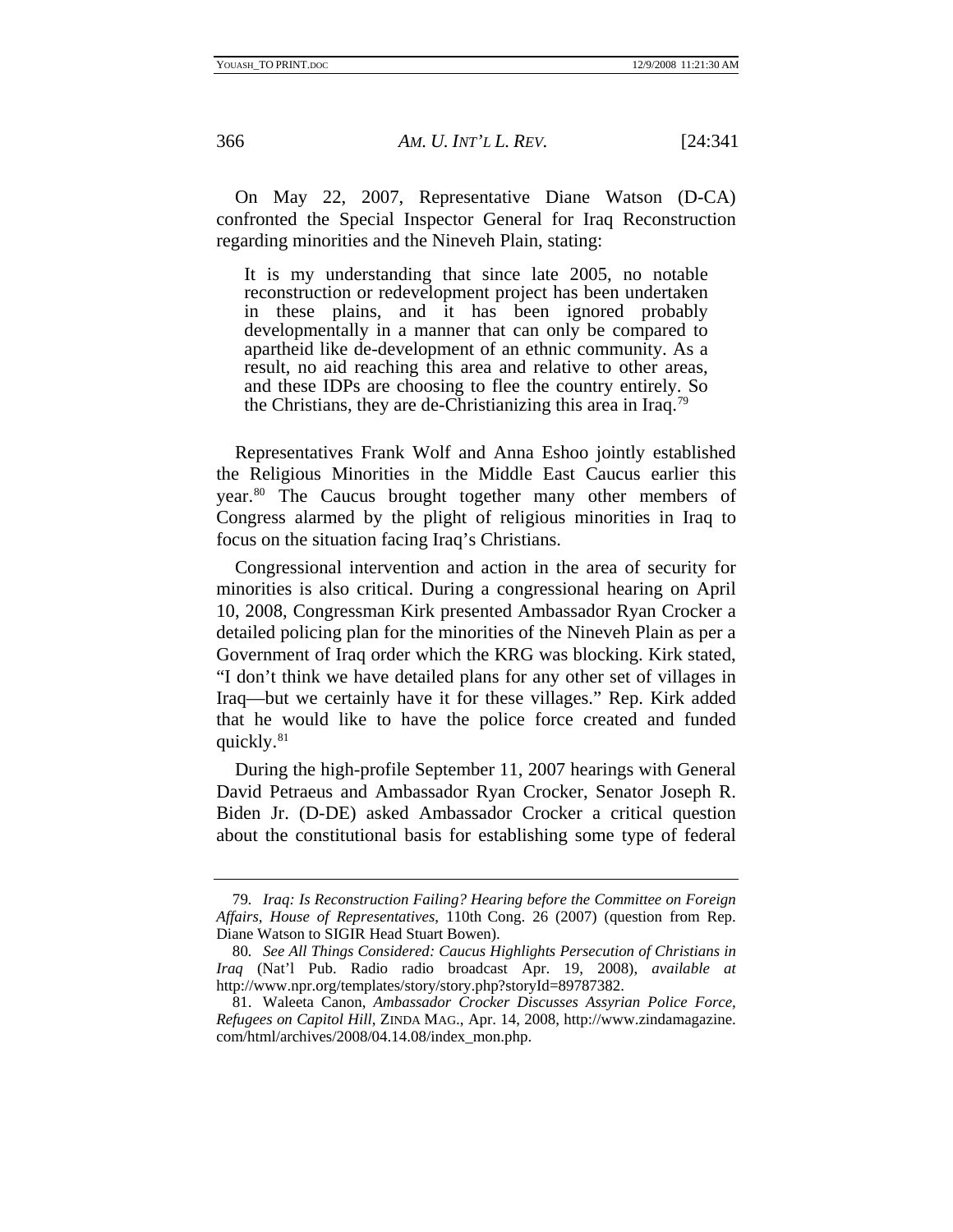On May 22, 2007, Representative Diane Watson (D-CA) confronted the Special Inspector General for Iraq Reconstruction regarding minorities and the Nineveh Plain, stating:

It is my understanding that since late 2005, no notable reconstruction or redevelopment project has been undertaken in these plains, and it has been ignored probably developmentally in a manner that can only be compared to apartheid like de-development of an ethnic community. As a result, no aid reaching this area and relative to other areas, and these IDPs are choosing to flee the country entirely. So the Christians, they are de-Christianizing this area in Iraq[.79](#page-26-0)

Representatives Frank Wolf and Anna Eshoo jointly established the Religious Minorities in the Middle East Caucus earlier this year.<sup>[80](#page-26-1)</sup> The Caucus brought together many other members of Congress alarmed by the plight of religious minorities in Iraq to focus on the situation facing Iraq's Christians.

Congressional intervention and action in the area of security for minorities is also critical. During a congressional hearing on April 10, 2008, Congressman Kirk presented Ambassador Ryan Crocker a detailed policing plan for the minorities of the Nineveh Plain as per a Government of Iraq order which the KRG was blocking. Kirk stated, "I don't think we have detailed plans for any other set of villages in Iraq—but we certainly have it for these villages." Rep. Kirk added that he would like to have the police force created and funded quickly[.81](#page-26-2)

During the high-profile September 11, 2007 hearings with General David Petraeus and Ambassador Ryan Crocker, Senator Joseph R. Biden Jr. (D-DE) asked Ambassador Crocker a critical question about the constitutional basis for establishing some type of federal

<span id="page-26-0"></span><sup>79</sup>*. Iraq: Is Reconstruction Failing? Hearing before the Committee on Foreign Affairs, House of Representatives*, 110th Cong. 26 (2007) (question from Rep. Diane Watson to SIGIR Head Stuart Bowen).

<span id="page-26-1"></span><sup>80</sup>*. See All Things Considered: Caucus Highlights Persecution of Christians in Iraq* (Nat'l Pub. Radio radio broadcast Apr. 19, 2008), *available at* http://www.npr.org/templates/story/story.php?storyId=89787382.

<span id="page-26-2"></span> <sup>81.</sup> Waleeta Canon, *Ambassador Crocker Discusses Assyrian Police Force, Refugees on Capitol Hill*, ZINDA MAG., Apr. 14, 2008, http://www.zindamagazine. com/html/archives/2008/04.14.08/index\_mon.php.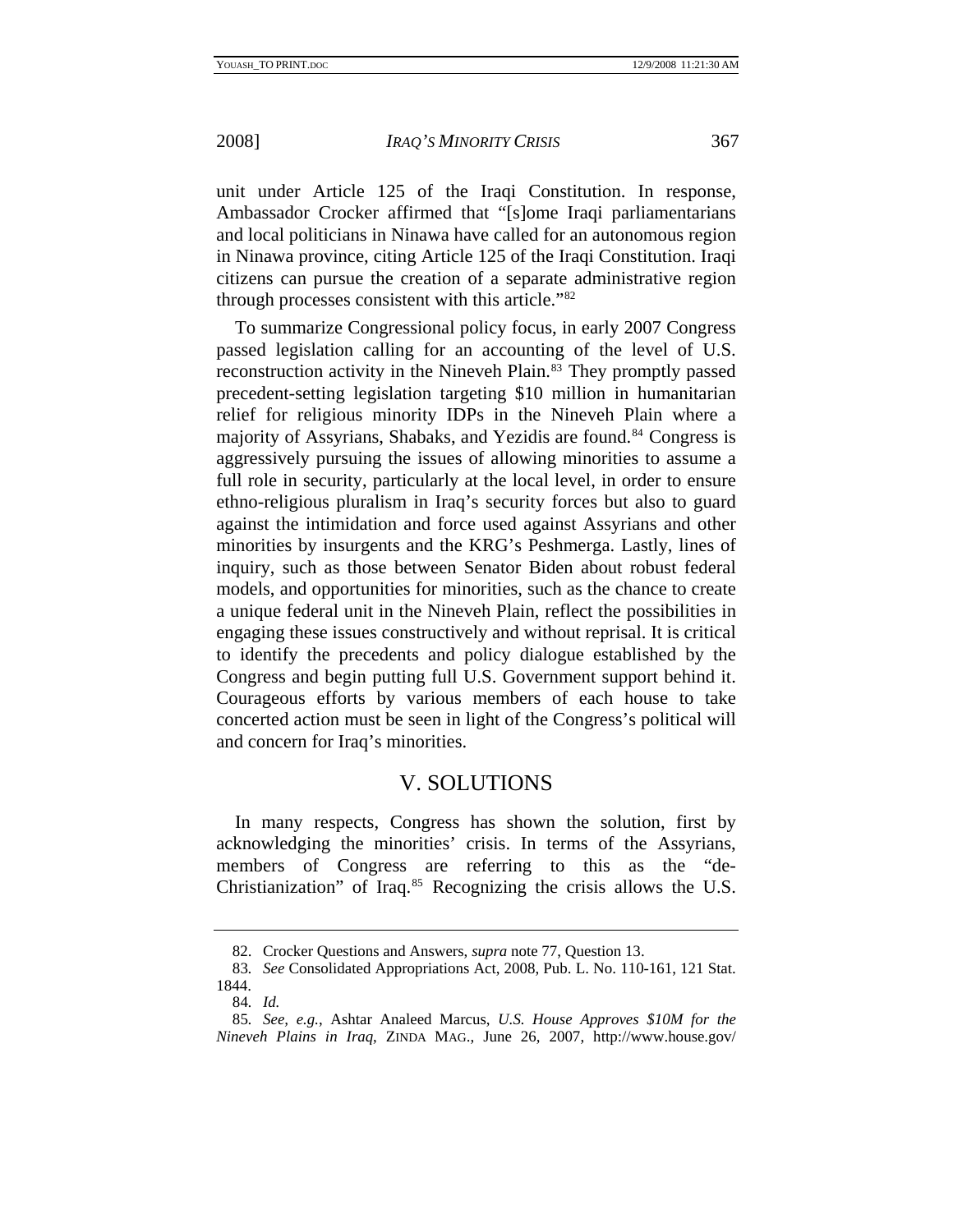<span id="page-27-0"></span>

unit under Article 125 of the Iraqi Constitution. In response, Ambassador Crocker affirmed that "[s]ome Iraqi parliamentarians and local politicians in Ninawa have called for an autonomous region in Ninawa province, citing Article 125 of the Iraqi Constitution. Iraqi citizens can pursue the creation of a separate administrative region through processes consistent with this article."[82](#page-27-1)

To summarize Congressional policy focus, in early 2007 Congress passed legislation calling for an accounting of the level of U.S. reconstruction activity in the Nineveh Plain.<sup>[83](#page-27-2)</sup> They promptly passed precedent-setting legislation targeting \$10 million in humanitarian relief for religious minority IDPs in the Nineveh Plain where a majority of Assyrians, Shabaks, and Yezidis are found.<sup>[84](#page-27-3)</sup> Congress is aggressively pursuing the issues of allowing minorities to assume a full role in security, particularly at the local level, in order to ensure ethno-religious pluralism in Iraq's security forces but also to guard against the intimidation and force used against Assyrians and other minorities by insurgents and the KRG's Peshmerga. Lastly, lines of inquiry, such as those between Senator Biden about robust federal models, and opportunities for minorities, such as the chance to create a unique federal unit in the Nineveh Plain, reflect the possibilities in engaging these issues constructively and without reprisal. It is critical to identify the precedents and policy dialogue established by the Congress and begin putting full U.S. Government support behind it. Courageous efforts by various members of each house to take concerted action must be seen in light of the Congress's political will and concern for Iraq's minorities.

## V. SOLUTIONS

In many respects, Congress has shown the solution, first by acknowledging the minorities' crisis. In terms of the Assyrians, members of Congress are referring to this as the "de-Christianization" of Iraq.[85](#page-27-4) Recognizing the crisis allows the U.S.

 <sup>82.</sup> Crocker Questions and Answers, *supra* note 77, Question 13.

<span id="page-27-2"></span><span id="page-27-1"></span><sup>83</sup>*. See* Consolidated Appropriations Act, 2008, Pub. L. No. 110-161, 121 Stat. 1844.

<sup>84</sup>*. Id.*

<span id="page-27-4"></span><span id="page-27-3"></span><sup>85</sup>*. See, e.g.*, Ashtar Analeed Marcus, *U.S. House Approves \$10M for the Nineveh Plains in Iraq*, ZINDA MAG., June 26, 2007, http://www.house.gov/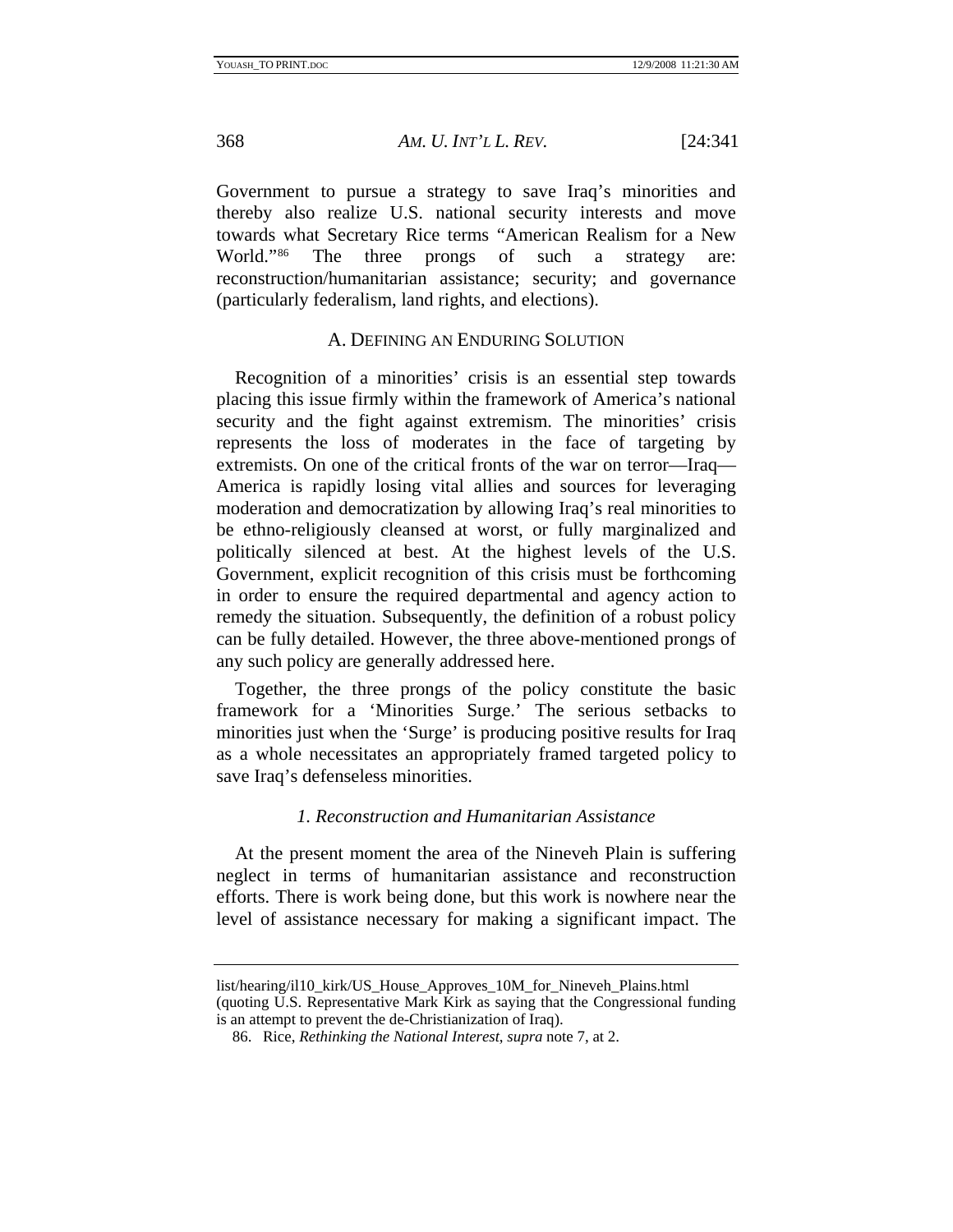<span id="page-28-0"></span>

Government to pursue a strategy to save Iraq's minorities and thereby also realize U.S. national security interests and move towards what Secretary Rice terms "American Realism for a New World."<sup>86</sup> The three prongs of such a strategy are: reconstruction/humanitarian assistance; security; and governance (particularly federalism, land rights, and elections).

## A. DEFINING AN ENDURING SOLUTION

Recognition of a minorities' crisis is an essential step towards placing this issue firmly within the framework of America's national security and the fight against extremism. The minorities' crisis represents the loss of moderates in the face of targeting by extremists. On one of the critical fronts of the war on terror—Iraq— America is rapidly losing vital allies and sources for leveraging moderation and democratization by allowing Iraq's real minorities to be ethno-religiously cleansed at worst, or fully marginalized and politically silenced at best. At the highest levels of the U.S. Government, explicit recognition of this crisis must be forthcoming in order to ensure the required departmental and agency action to remedy the situation. Subsequently, the definition of a robust policy can be fully detailed. However, the three above-mentioned prongs of any such policy are generally addressed here.

Together, the three prongs of the policy constitute the basic framework for a 'Minorities Surge.' The serious setbacks to minorities just when the 'Surge' is producing positive results for Iraq as a whole necessitates an appropriately framed targeted policy to save Iraq's defenseless minorities.

#### *1. Reconstruction and Humanitarian Assistance*

At the present moment the area of the Nineveh Plain is suffering neglect in terms of humanitarian assistance and reconstruction efforts. There is work being done, but this work is nowhere near the level of assistance necessary for making a significant impact. The

list/hearing/il10\_kirk/US\_House\_Approves\_10M\_for\_Nineveh\_Plains.html (quoting U.S. Representative Mark Kirk as saying that the Congressional funding

<span id="page-28-1"></span>is an attempt to prevent the de-Christianization of Iraq).

 <sup>86.</sup> Rice, *Rethinking the National Interest*, *supra* note 7, at 2.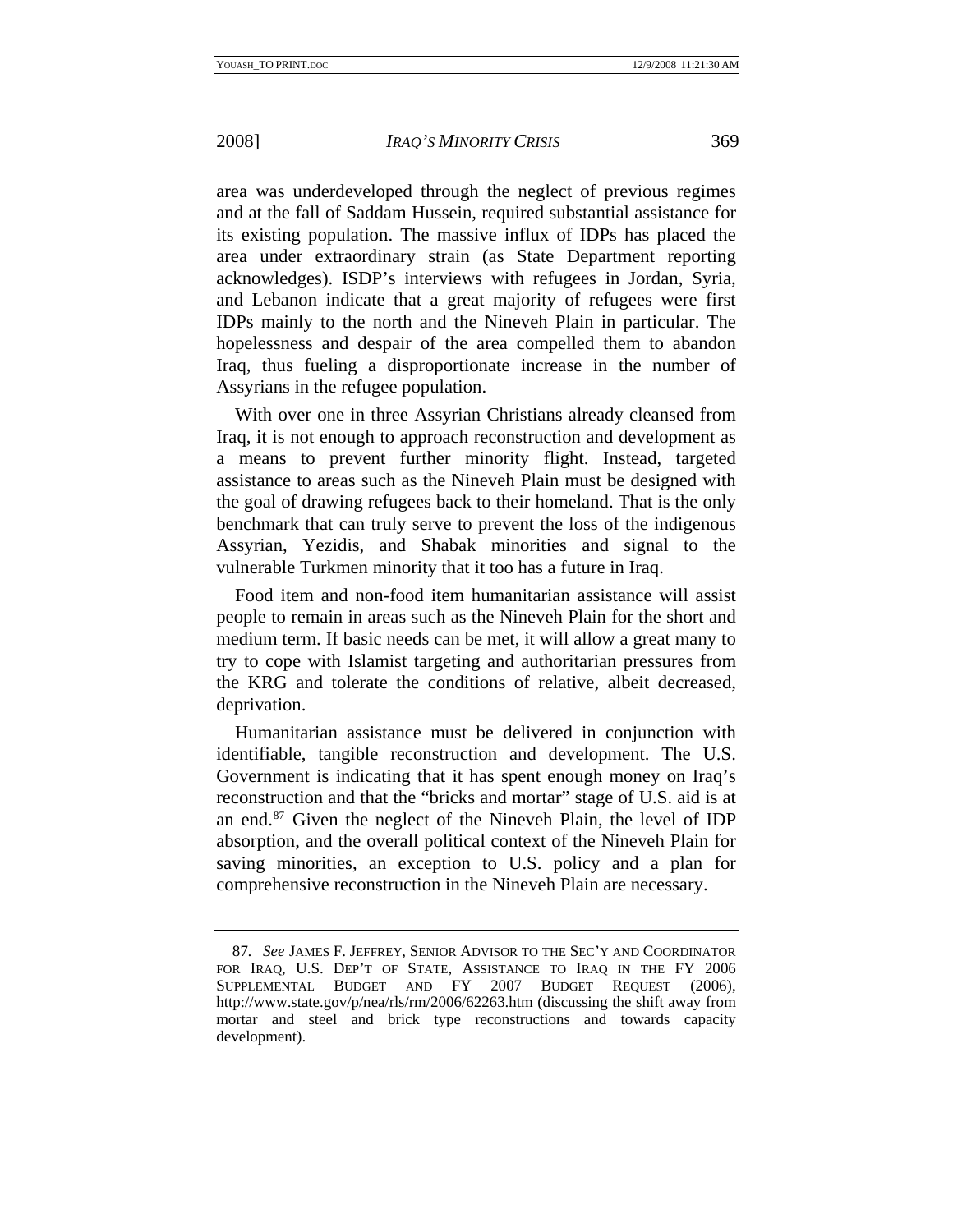area was underdeveloped through the neglect of previous regimes and at the fall of Saddam Hussein, required substantial assistance for its existing population. The massive influx of IDPs has placed the area under extraordinary strain (as State Department reporting acknowledges). ISDP's interviews with refugees in Jordan, Syria, and Lebanon indicate that a great majority of refugees were first IDPs mainly to the north and the Nineveh Plain in particular. The hopelessness and despair of the area compelled them to abandon Iraq, thus fueling a disproportionate increase in the number of Assyrians in the refugee population.

With over one in three Assyrian Christians already cleansed from Iraq, it is not enough to approach reconstruction and development as a means to prevent further minority flight. Instead, targeted assistance to areas such as the Nineveh Plain must be designed with the goal of drawing refugees back to their homeland. That is the only benchmark that can truly serve to prevent the loss of the indigenous Assyrian, Yezidis, and Shabak minorities and signal to the vulnerable Turkmen minority that it too has a future in Iraq.

Food item and non-food item humanitarian assistance will assist people to remain in areas such as the Nineveh Plain for the short and medium term. If basic needs can be met, it will allow a great many to try to cope with Islamist targeting and authoritarian pressures from the KRG and tolerate the conditions of relative, albeit decreased, deprivation.

Humanitarian assistance must be delivered in conjunction with identifiable, tangible reconstruction and development. The U.S. Government is indicating that it has spent enough money on Iraq's reconstruction and that the "bricks and mortar" stage of U.S. aid is at an end.[87](#page-29-0) Given the neglect of the Nineveh Plain, the level of IDP absorption, and the overall political context of the Nineveh Plain for saving minorities, an exception to U.S. policy and a plan for comprehensive reconstruction in the Nineveh Plain are necessary.

<span id="page-29-0"></span><sup>87</sup>*. See* JAMES F. JEFFREY, SENIOR ADVISOR TO THE SEC'Y AND COORDINATOR FOR IRAQ, U.S. DEP'T OF STATE, ASSISTANCE TO IRAQ IN THE FY 2006 SUPPLEMENTAL BUDGET AND FY 2007 BUDGET REQUEST (2006), http://www.state.gov/p/nea/rls/rm/2006/62263.htm (discussing the shift away from mortar and steel and brick type reconstructions and towards capacity development).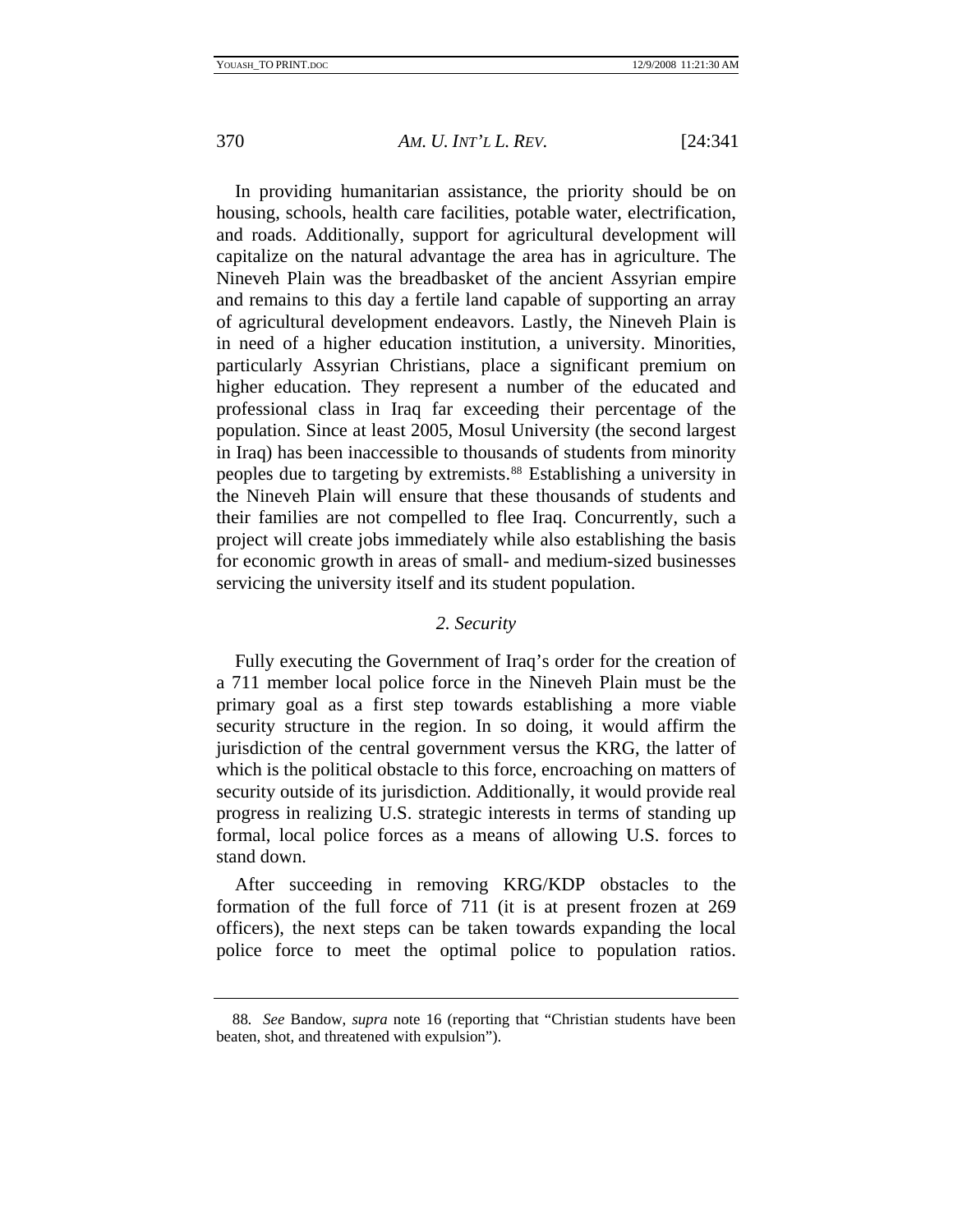<span id="page-30-0"></span>

In providing humanitarian assistance, the priority should be on housing, schools, health care facilities, potable water, electrification, and roads. Additionally, support for agricultural development will capitalize on the natural advantage the area has in agriculture. The Nineveh Plain was the breadbasket of the ancient Assyrian empire and remains to this day a fertile land capable of supporting an array of agricultural development endeavors. Lastly, the Nineveh Plain is in need of a higher education institution, a university. Minorities, particularly Assyrian Christians, place a significant premium on higher education. They represent a number of the educated and professional class in Iraq far exceeding their percentage of the population. Since at least 2005, Mosul University (the second largest in Iraq) has been inaccessible to thousands of students from minority peoples due to targeting by extremists.<sup>88</sup> Establishing a university in the Nineveh Plain will ensure that these thousands of students and their families are not compelled to flee Iraq. Concurrently, such a project will create jobs immediately while also establishing the basis for economic growth in areas of small- and medium-sized businesses servicing the university itself and its student population.

## *2. Security*

Fully executing the Government of Iraq's order for the creation of a 711 member local police force in the Nineveh Plain must be the primary goal as a first step towards establishing a more viable security structure in the region. In so doing, it would affirm the jurisdiction of the central government versus the KRG, the latter of which is the political obstacle to this force, encroaching on matters of security outside of its jurisdiction. Additionally, it would provide real progress in realizing U.S. strategic interests in terms of standing up formal, local police forces as a means of allowing U.S. forces to stand down.

After succeeding in removing KRG/KDP obstacles to the formation of the full force of 711 (it is at present frozen at 269 officers), the next steps can be taken towards expanding the local police force to meet the optimal police to population ratios.

<span id="page-30-1"></span><sup>88</sup>*. See* Bandow, *supra* note 16 (reporting that "Christian students have been beaten, shot, and threatened with expulsion").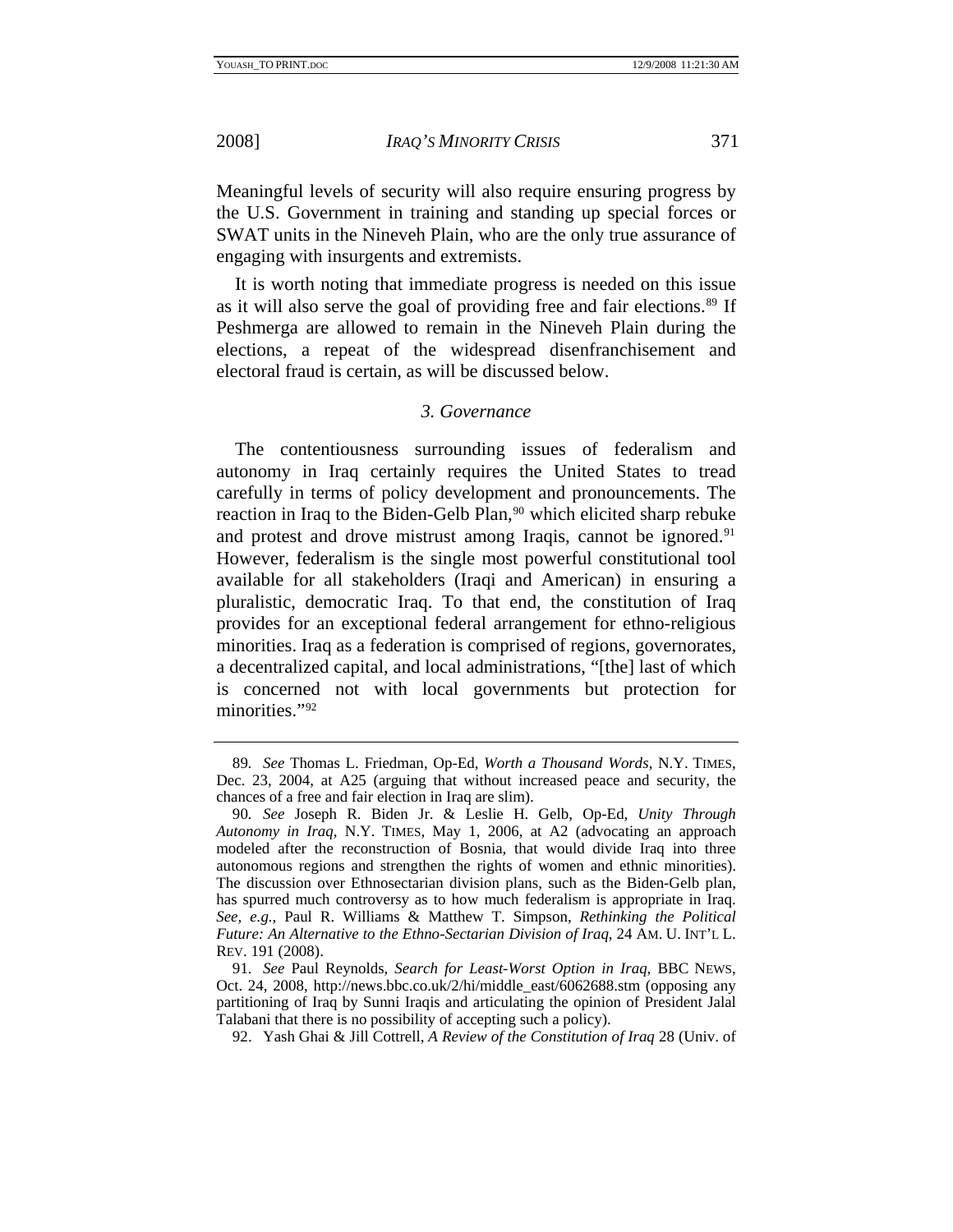<span id="page-31-0"></span>

Meaningful levels of security will also require ensuring progress by the U.S. Government in training and standing up special forces or SWAT units in the Nineveh Plain, who are the only true assurance of engaging with insurgents and extremists.

It is worth noting that immediate progress is needed on this issue as it will also serve the goal of providing free and fair elections.<sup>[89](#page-31-1)</sup> If Peshmerga are allowed to remain in the Nineveh Plain during the elections, a repeat of the widespread disenfranchisement and electoral fraud is certain, as will be discussed below.

## *3. Governance*

The contentiousness surrounding issues of federalism and autonomy in Iraq certainly requires the United States to tread carefully in terms of policy development and pronouncements. The reaction in Iraq to the Biden-Gelb Plan,<sup>[90](#page-31-2)</sup> which elicited sharp rebuke and protest and drove mistrust among Iraqis, cannot be ignored.<sup>[91](#page-31-3)</sup> However, federalism is the single most powerful constitutional tool available for all stakeholders (Iraqi and American) in ensuring a pluralistic, democratic Iraq. To that end, the constitution of Iraq provides for an exceptional federal arrangement for ethno-religious minorities. Iraq as a federation is comprised of regions, governorates, a decentralized capital, and local administrations, "[the] last of which is concerned not with local governments but protection for minorities.["92](#page-31-4)

<span id="page-31-1"></span><sup>89</sup>*. See* Thomas L. Friedman, Op-Ed, *Worth a Thousand Words*, N.Y. TIMES, Dec. 23, 2004, at A25 (arguing that without increased peace and security, the chances of a free and fair election in Iraq are slim).

<span id="page-31-2"></span><sup>90</sup>*. See* Joseph R. Biden Jr. & Leslie H. Gelb, Op-Ed, *Unity Through Autonomy in Iraq*, N.Y. TIMES, May 1, 2006, at A2 (advocating an approach modeled after the reconstruction of Bosnia, that would divide Iraq into three autonomous regions and strengthen the rights of women and ethnic minorities). The discussion over Ethnosectarian division plans, such as the Biden-Gelb plan, has spurred much controversy as to how much federalism is appropriate in Iraq. *See, e.g.*, Paul R. Williams & Matthew T. Simpson, *Rethinking the Political Future: An Alternative to the Ethno-Sectarian Division of Iraq*, 24 AM. U. INT'L L. REV. 191 (2008).

<span id="page-31-4"></span><span id="page-31-3"></span><sup>91</sup>*. See* Paul Reynolds, *Search for Least-Worst Option in Iraq*, BBC NEWS, Oct. 24, 2008, http://news.bbc.co.uk/2/hi/middle\_east/6062688.stm (opposing any partitioning of Iraq by Sunni Iraqis and articulating the opinion of President Jalal Talabani that there is no possibility of accepting such a policy).

 <sup>92.</sup> Yash Ghai & Jill Cottrell, *A Review of the Constitution of Iraq* 28 (Univ. of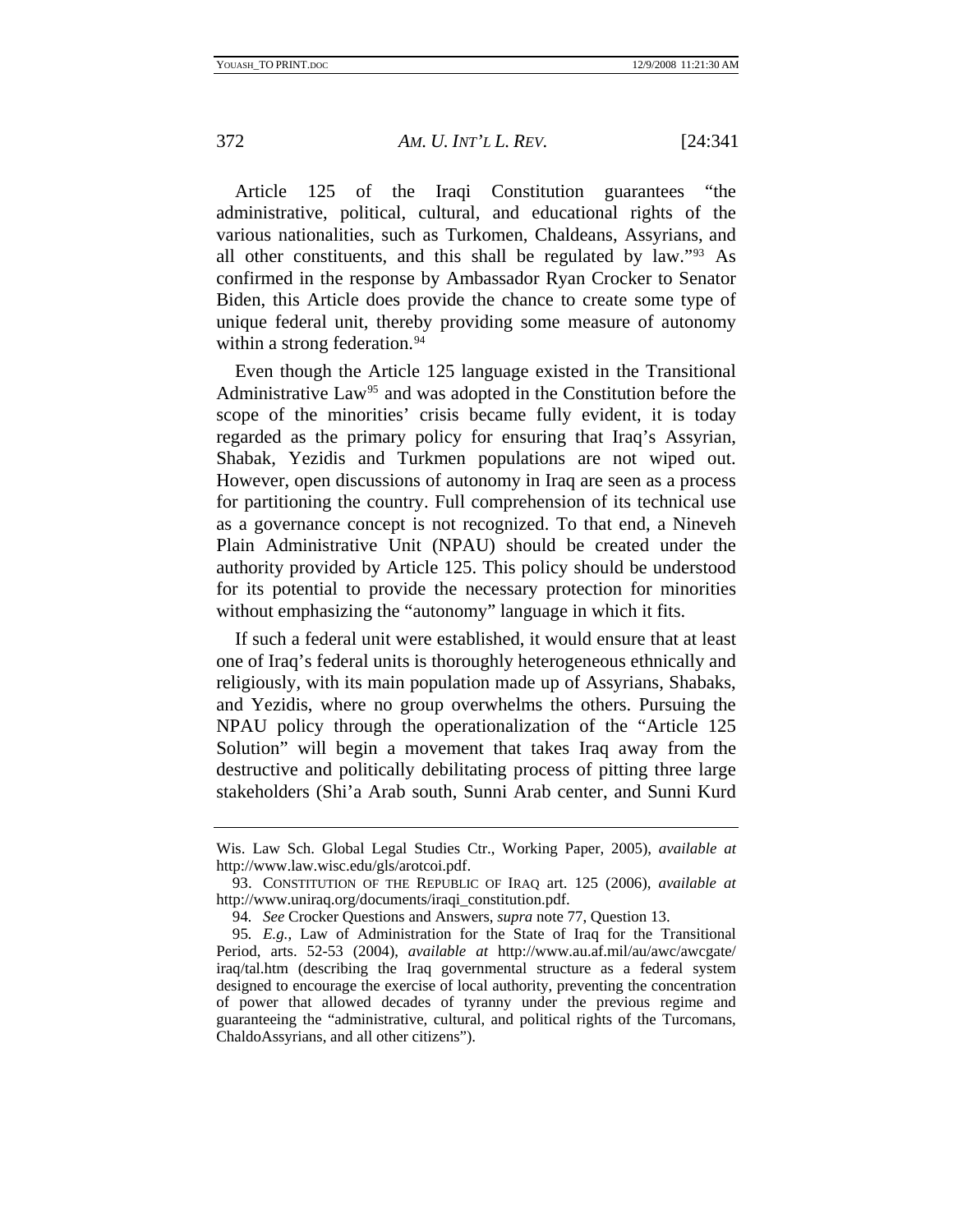Article 125 of the Iraqi Constitution guarantees "the administrative, political, cultural, and educational rights of the various nationalities, such as Turkomen, Chaldeans, Assyrians, and all other constituents, and this shall be regulated by law."[93](#page-32-0) As confirmed in the response by Ambassador Ryan Crocker to Senator Biden, this Article does provide the chance to create some type of unique federal unit, thereby providing some measure of autonomy within a strong federation.<sup>[94](#page-32-1)</sup>

Even though the Article 125 language existed in the Transitional Administrative Law<sup>[95](#page-32-2)</sup> and was adopted in the Constitution before the scope of the minorities' crisis became fully evident, it is today regarded as the primary policy for ensuring that Iraq's Assyrian, Shabak, Yezidis and Turkmen populations are not wiped out. However, open discussions of autonomy in Iraq are seen as a process for partitioning the country. Full comprehension of its technical use as a governance concept is not recognized. To that end, a Nineveh Plain Administrative Unit (NPAU) should be created under the authority provided by Article 125. This policy should be understood for its potential to provide the necessary protection for minorities without emphasizing the "autonomy" language in which it fits.

If such a federal unit were established, it would ensure that at least one of Iraq's federal units is thoroughly heterogeneous ethnically and religiously, with its main population made up of Assyrians, Shabaks, and Yezidis, where no group overwhelms the others. Pursuing the NPAU policy through the operationalization of the "Article 125 Solution" will begin a movement that takes Iraq away from the destructive and politically debilitating process of pitting three large stakeholders (Shi'a Arab south, Sunni Arab center, and Sunni Kurd

Wis. Law Sch. Global Legal Studies Ctr., Working Paper, 2005), *available at* http://www.law.wisc.edu/gls/arotcoi.pdf.

<span id="page-32-0"></span> <sup>93.</sup> CONSTITUTION OF THE REPUBLIC OF IRAQ art. 125 (2006), *available at* http://www.uniraq.org/documents/iraqi\_constitution.pdf.

<sup>94</sup>*. See* Crocker Questions and Answers, *supra* note 77, Question 13.

<span id="page-32-2"></span><span id="page-32-1"></span><sup>95</sup>*. E.g.*, Law of Administration for the State of Iraq for the Transitional Period, arts. 52-53 (2004), *available at* http://www.au.af.mil/au/awc/awcgate/ iraq/tal.htm (describing the Iraq governmental structure as a federal system designed to encourage the exercise of local authority, preventing the concentration of power that allowed decades of tyranny under the previous regime and guaranteeing the "administrative, cultural, and political rights of the Turcomans, ChaldoAssyrians, and all other citizens").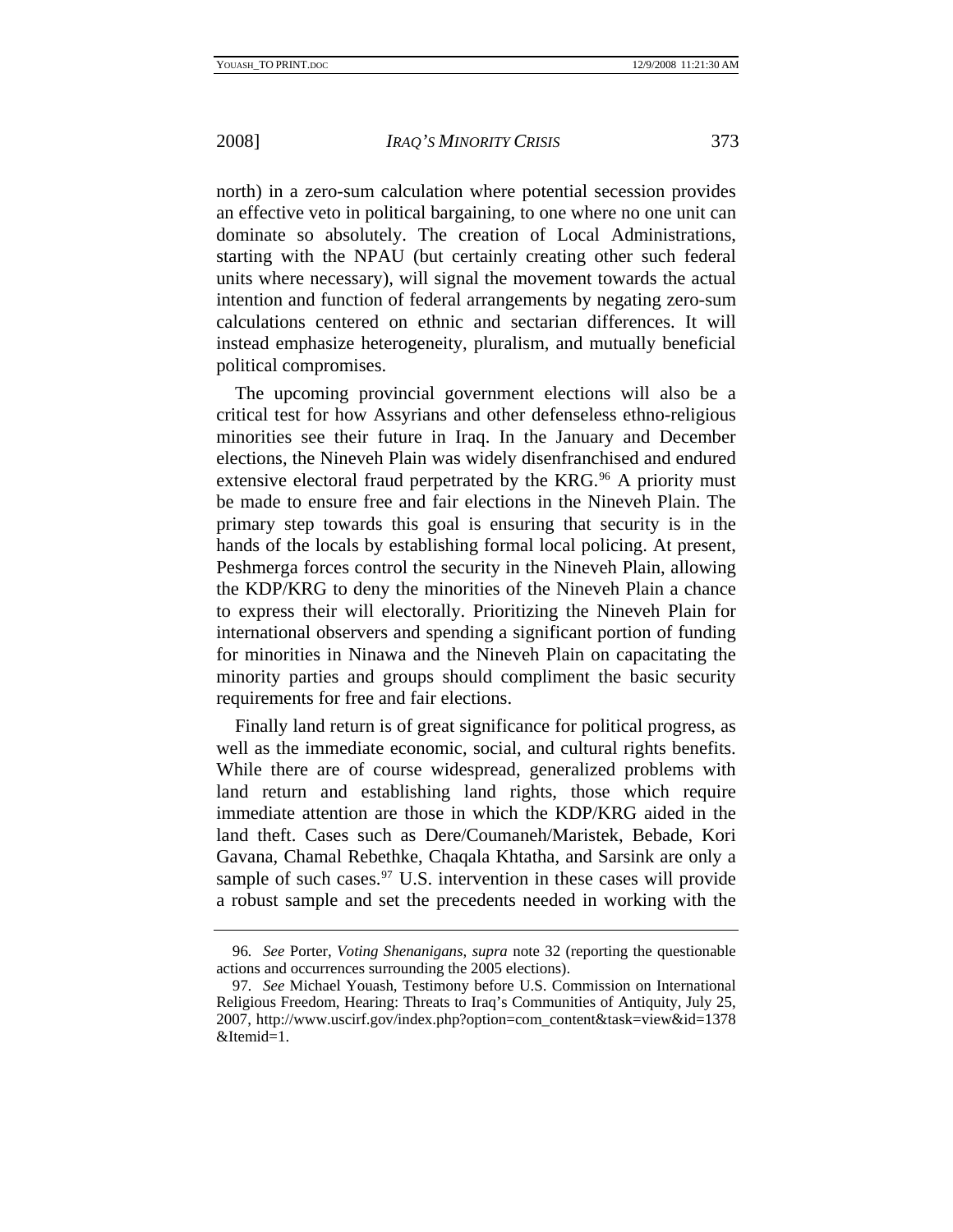north) in a zero-sum calculation where potential secession provides an effective veto in political bargaining, to one where no one unit can dominate so absolutely. The creation of Local Administrations, starting with the NPAU (but certainly creating other such federal units where necessary), will signal the movement towards the actual intention and function of federal arrangements by negating zero-sum calculations centered on ethnic and sectarian differences. It will instead emphasize heterogeneity, pluralism, and mutually beneficial political compromises.

The upcoming provincial government elections will also be a critical test for how Assyrians and other defenseless ethno-religious minorities see their future in Iraq. In the January and December elections, the Nineveh Plain was widely disenfranchised and endured extensive electoral fraud perpetrated by the KRG.<sup>[96](#page-33-0)</sup> A priority must be made to ensure free and fair elections in the Nineveh Plain. The primary step towards this goal is ensuring that security is in the hands of the locals by establishing formal local policing. At present, Peshmerga forces control the security in the Nineveh Plain, allowing the KDP/KRG to deny the minorities of the Nineveh Plain a chance to express their will electorally. Prioritizing the Nineveh Plain for international observers and spending a significant portion of funding for minorities in Ninawa and the Nineveh Plain on capacitating the minority parties and groups should compliment the basic security requirements for free and fair elections.

Finally land return is of great significance for political progress, as well as the immediate economic, social, and cultural rights benefits. While there are of course widespread, generalized problems with land return and establishing land rights, those which require immediate attention are those in which the KDP/KRG aided in the land theft. Cases such as Dere/Coumaneh/Maristek, Bebade, Kori Gavana, Chamal Rebethke, Chaqala Khtatha, and Sarsink are only a sample of such cases.<sup>[97](#page-33-1)</sup> U.S. intervention in these cases will provide a robust sample and set the precedents needed in working with the

<span id="page-33-0"></span><sup>96</sup>*. See* Porter, *Voting Shenanigans*, *supra* note 32 (reporting the questionable actions and occurrences surrounding the 2005 elections).

<span id="page-33-1"></span><sup>97</sup>*. See* Michael Youash, Testimony before U.S. Commission on International Religious Freedom, Hearing: Threats to Iraq's Communities of Antiquity, July 25, 2007, http://www.uscirf.gov/index.php?option=com\_content&task=view&id=1378 &Itemid=1.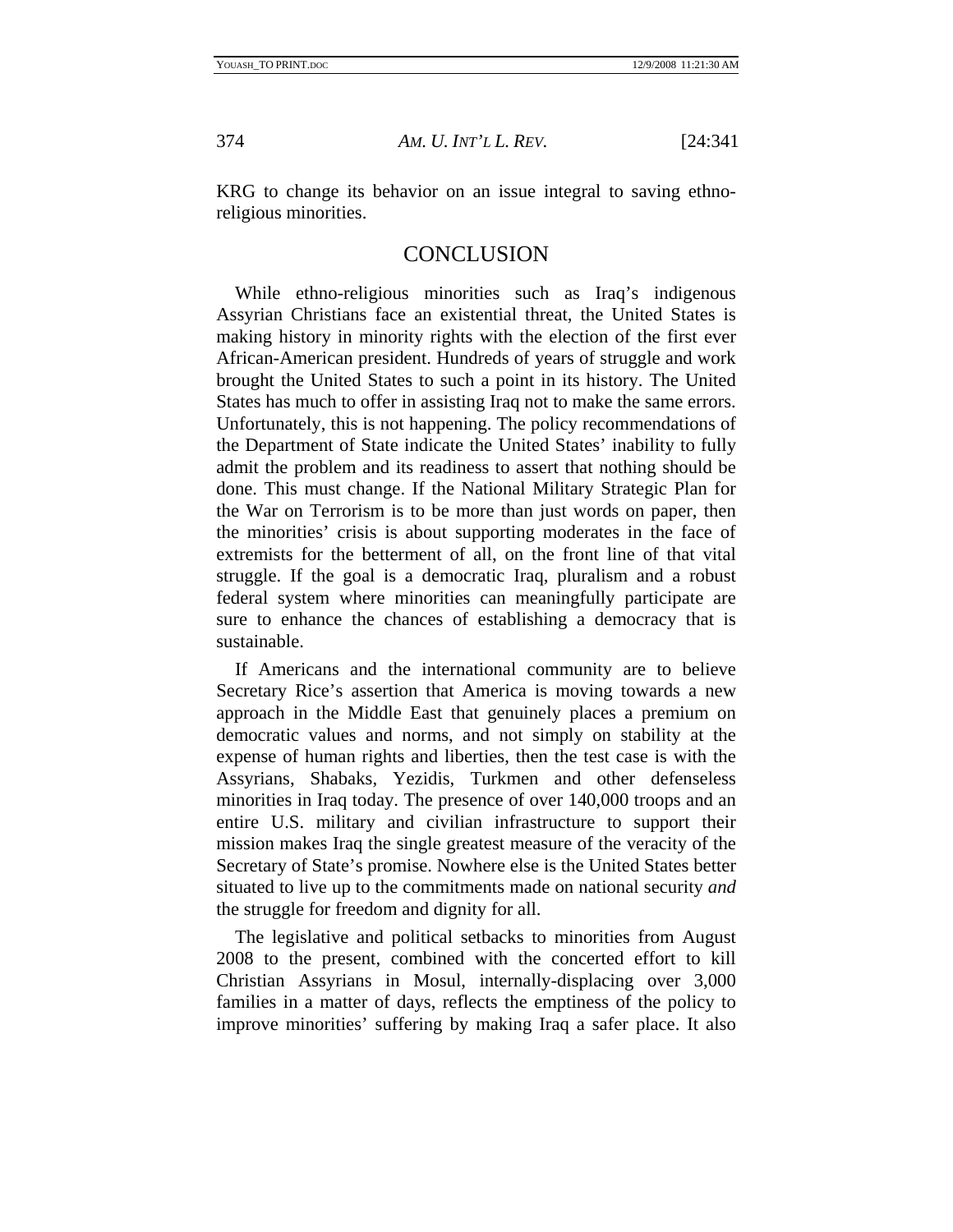<span id="page-34-0"></span>

KRG to change its behavior on an issue integral to saving ethnoreligious minorities.

## **CONCLUSION**

While ethno-religious minorities such as Iraq's indigenous Assyrian Christians face an existential threat, the United States is making history in minority rights with the election of the first ever African-American president. Hundreds of years of struggle and work brought the United States to such a point in its history. The United States has much to offer in assisting Iraq not to make the same errors. Unfortunately, this is not happening. The policy recommendations of the Department of State indicate the United States' inability to fully admit the problem and its readiness to assert that nothing should be done. This must change. If the National Military Strategic Plan for the War on Terrorism is to be more than just words on paper, then the minorities' crisis is about supporting moderates in the face of extremists for the betterment of all, on the front line of that vital struggle. If the goal is a democratic Iraq, pluralism and a robust federal system where minorities can meaningfully participate are sure to enhance the chances of establishing a democracy that is sustainable.

If Americans and the international community are to believe Secretary Rice's assertion that America is moving towards a new approach in the Middle East that genuinely places a premium on democratic values and norms, and not simply on stability at the expense of human rights and liberties, then the test case is with the Assyrians, Shabaks, Yezidis, Turkmen and other defenseless minorities in Iraq today. The presence of over 140,000 troops and an entire U.S. military and civilian infrastructure to support their mission makes Iraq the single greatest measure of the veracity of the Secretary of State's promise. Nowhere else is the United States better situated to live up to the commitments made on national security *and* the struggle for freedom and dignity for all.

The legislative and political setbacks to minorities from August 2008 to the present, combined with the concerted effort to kill Christian Assyrians in Mosul, internally-displacing over 3,000 families in a matter of days, reflects the emptiness of the policy to improve minorities' suffering by making Iraq a safer place. It also